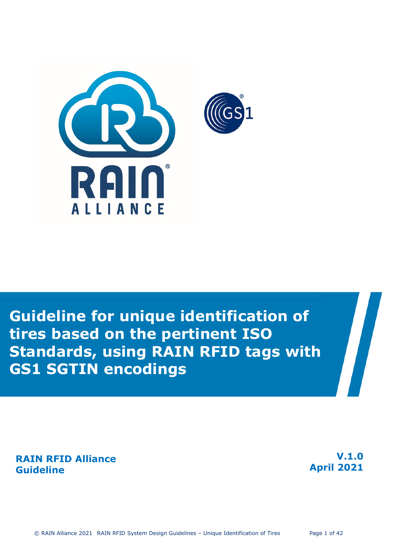

# **Guideline for unique identification of tires based on the pertinent ISO Standards, using RAIN RFID tags with GS1 SGTIN encodings**

**RAIN RFID Alliance Guideline** 

**V.1.0 April 2021**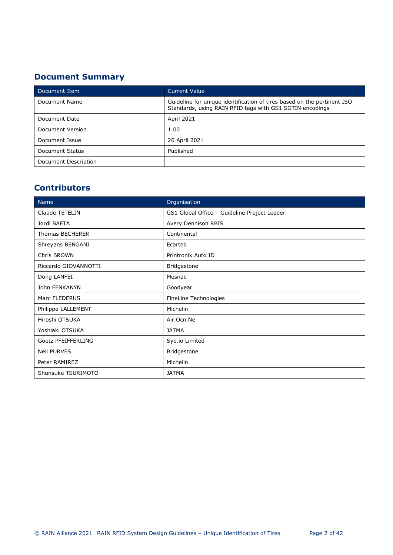## **Document Summary**

| Document Item        | <b>Current Value</b>                                                                                                                |
|----------------------|-------------------------------------------------------------------------------------------------------------------------------------|
| Document Name        | Guideline for unique identification of tires based on the pertinent ISO<br>Standards, using RAIN RFID tags with GS1 SGTIN encodings |
| Document Date        | April 2021                                                                                                                          |
| Document Version     | 1.00                                                                                                                                |
| Document Issue       | 26 April 2021                                                                                                                       |
| Document Status      | Published                                                                                                                           |
| Document Description |                                                                                                                                     |

## **Contributors**

| <b>Name</b>          | Organisation                                 |  |  |
|----------------------|----------------------------------------------|--|--|
| Claude TETELIN       | GS1 Global Office - Guideline Project Leader |  |  |
| Jordi BAETA          | Avery Dennison RBIS                          |  |  |
| Thomas BECHERER      | Continental                                  |  |  |
| Shreyans BENGANI     | Ecartes                                      |  |  |
| Chris BROWN          | Printronix Auto ID                           |  |  |
| Riccardo GIOVANNOTTI | Bridgestone                                  |  |  |
| Dong LANFEI          | Mesnac                                       |  |  |
| John FENKANYN        | Goodyear                                     |  |  |
| Marc FLEDERUS        | FineLine Technologies                        |  |  |
| Philippe LALLEMENT   | Michelin                                     |  |  |
| Hiroshi OTSUKA       | Air.Ocn.Ne                                   |  |  |
| Yoshiaki OTSUKA      | <b>JATMA</b>                                 |  |  |
| Goetz PFEIFFERLING   | Syo.io Limited                               |  |  |
| <b>Neil PURVES</b>   | Bridgestone                                  |  |  |
| Peter RAMIREZ        | Michelin                                     |  |  |
| Shunsuke TSURIMOTO   | <b>JATMA</b>                                 |  |  |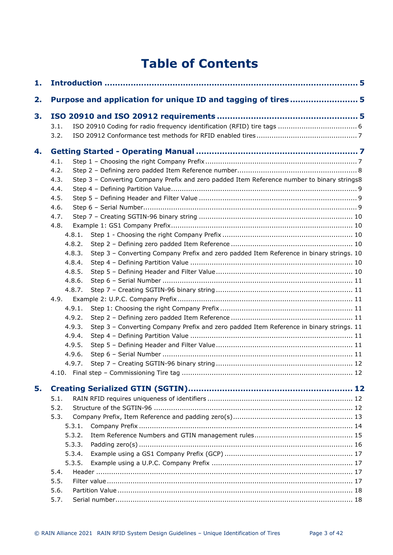# **Table of Contents**

| 1. |                                                                                                     |  |
|----|-----------------------------------------------------------------------------------------------------|--|
| 2. | Purpose and application for unique ID and tagging of tires5                                         |  |
| 3. |                                                                                                     |  |
|    | 3.1.                                                                                                |  |
|    | 3.2.                                                                                                |  |
| 4. |                                                                                                     |  |
|    | 4.1.                                                                                                |  |
|    | 4.2.                                                                                                |  |
|    | Step 3 - Converting Company Prefix and zero padded Item Reference number to binary strings8<br>4.3. |  |
|    | 4.4.                                                                                                |  |
|    | 4.5.                                                                                                |  |
|    | 4.6.                                                                                                |  |
|    | 4.7.                                                                                                |  |
|    | 4.8.                                                                                                |  |
|    | 4.8.1.                                                                                              |  |
|    | 4.8.2.                                                                                              |  |
|    | Step 3 - Converting Company Prefix and zero padded Item Reference in binary strings. 10<br>4.8.3.   |  |
|    | 4.8.4.                                                                                              |  |
|    | 4.8.5.                                                                                              |  |
|    | 4.8.6.                                                                                              |  |
|    | 4.8.7.                                                                                              |  |
|    | 4.9.                                                                                                |  |
|    | 4.9.1.                                                                                              |  |
|    | 4.9.2.                                                                                              |  |
|    | Step 3 - Converting Company Prefix and zero padded Item Reference in binary strings. 11<br>4.9.3.   |  |
|    | 4.9.4.                                                                                              |  |
|    | 4.9.5.                                                                                              |  |
|    | 4.9.6.                                                                                              |  |
|    | 4.9.7.                                                                                              |  |
|    |                                                                                                     |  |
| 5. |                                                                                                     |  |
|    | 5.1.                                                                                                |  |
|    | 5.2.                                                                                                |  |
|    | 5.3.                                                                                                |  |
|    | 5.3.1.                                                                                              |  |
|    | 5.3.2.                                                                                              |  |
|    | 5.3.3.                                                                                              |  |
|    | 5.3.4.                                                                                              |  |
|    | 5.3.5.                                                                                              |  |
|    | 5.4.                                                                                                |  |
|    | 5.5.                                                                                                |  |
|    |                                                                                                     |  |
|    | 5.6.                                                                                                |  |
|    | 5.7.                                                                                                |  |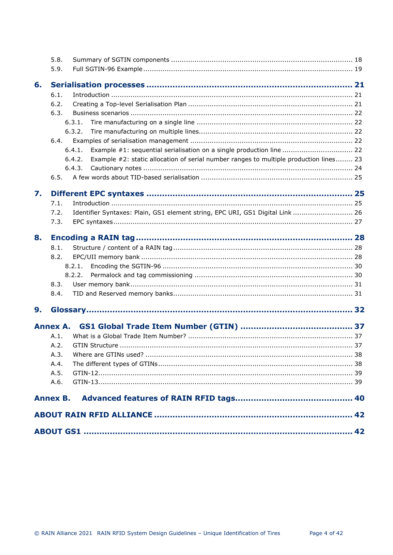|    | 5.8.                                                                                            |  |
|----|-------------------------------------------------------------------------------------------------|--|
|    | 5.9.                                                                                            |  |
| 6. |                                                                                                 |  |
|    | 6.1.                                                                                            |  |
|    | 6.2.                                                                                            |  |
|    | 6.3.                                                                                            |  |
|    | 6.3.1.                                                                                          |  |
|    | 6.3.2.                                                                                          |  |
|    | 6.4.                                                                                            |  |
|    | Example #1: sequential serialisation on a single production line  22<br>6.4.1.                  |  |
|    | Example #2: static allocation of serial number ranges to multiple production lines 23<br>6.4.2. |  |
|    | 6.4.3.                                                                                          |  |
|    | 6.5.                                                                                            |  |
| 7. |                                                                                                 |  |
|    | 7.1.                                                                                            |  |
|    | Identifier Syntaxes: Plain, GS1 element string, EPC URI, GS1 Digital Link  26<br>7.2.           |  |
|    | 7.3.                                                                                            |  |
|    |                                                                                                 |  |
| 8. |                                                                                                 |  |
|    | 8.1.                                                                                            |  |
|    | 8.2.                                                                                            |  |
|    | 8.2.1.                                                                                          |  |
|    | 8.2.2.                                                                                          |  |
|    | 8.3.                                                                                            |  |
|    | 8.4.                                                                                            |  |
| 9. |                                                                                                 |  |
|    | <b>Annex A.</b>                                                                                 |  |
|    | A.1.                                                                                            |  |
|    | A.2.                                                                                            |  |
|    | A.3.                                                                                            |  |
|    | A.4.                                                                                            |  |
|    | A.5.                                                                                            |  |
|    | A.6.                                                                                            |  |
|    |                                                                                                 |  |
|    |                                                                                                 |  |
|    |                                                                                                 |  |
|    |                                                                                                 |  |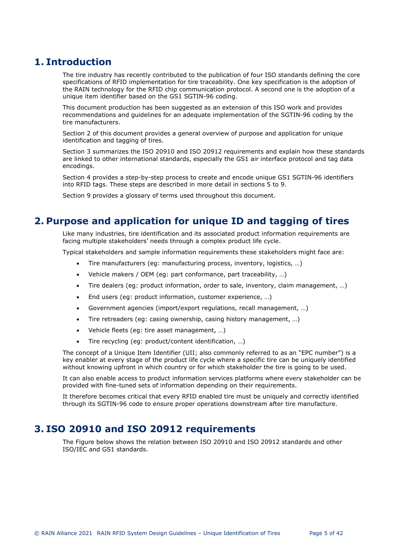## <span id="page-4-0"></span>**1. Introduction**

The tire industry has recently contributed to the publication of four ISO standards defining the core specifications of RFID implementation for tire traceability. One key specification is the adoption of the RAIN technology for the RFID chip communication protocol. A second one is the adoption of a unique item identifier based on the GS1 SGTIN-96 coding.

This document production has been suggested as an extension of this ISO work and provides recommendations and guidelines for an adequate implementation of the SGTIN-96 coding by the tire manufacturers.

Section 2 of this document provides a general overview of purpose and application for unique identification and tagging of tires.

Section 3 summarizes the ISO 20910 and ISO 20912 requirements and explain how these standards are linked to other international standards, especially the GS1 air interface protocol and tag data encodings.

Section 4 provides a step-by-step process to create and encode unique GS1 SGTIN-96 identifiers into RFID tags. These steps are described in more detail in sections 5 to 9.

Section 9 provides a glossary of terms used throughout this document.

## <span id="page-4-1"></span>**2. Purpose and application for unique ID and tagging of tires**

Like many industries, tire identification and its associated product information requirements are facing multiple stakeholders' needs through a complex product life cycle.

Typical stakeholders and sample information requirements these stakeholders might face are:

- Tire manufacturers (eg: manufacturing process, inventory, logistics, …)
- Vehicle makers / OEM (eg: part conformance, part traceability, …)
- Tire dealers (eg: product information, order to sale, inventory, claim management, …)
- End users (eg: product information, customer experience, …)
- Government agencies (import/export regulations, recall management, …)
- Tire retreaders (eg: casing ownership, casing history management, …)
- Vehicle fleets (eg: tire asset management, …)
- Tire recycling (eg: product/content identification, …)

The concept of a Unique Item Identifier (UII; also commonly referred to as an "EPC number") is a key enabler at every stage of the product life cycle where a specific tire can be uniquely identified without knowing upfront in which country or for which stakeholder the tire is going to be used.

It can also enable access to product information services platforms where every stakeholder can be provided with fine-tuned sets of information depending on their requirements.

It therefore becomes critical that every RFID enabled tire must be uniquely and correctly identified through its SGTIN-96 code to ensure proper operations downstream after tire manufacture.

## <span id="page-4-2"></span>**3. ISO 20910 and ISO 20912 requirements**

The Figure below shows the relation between ISO 20910 and ISO 20912 standards and other ISO/IEC and GS1 standards.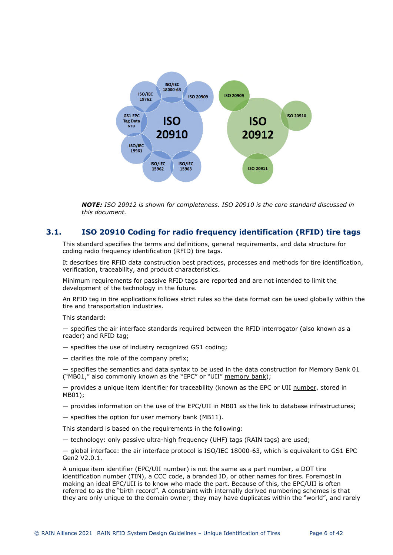

<span id="page-5-1"></span>*NOTE: ISO 20912 is shown for completeness. ISO 20910 is the core standard discussed in this document.* 

## **3.1. ISO 20910 Coding for radio frequency identification (RFID) tire tags**

<span id="page-5-0"></span>This standard specifies the terms and definitions, general requirements, and data structure for coding radio frequency identification (RFID) tire tags.

It describes tire RFID data construction best practices, processes and methods for tire identification, verification, traceability, and product characteristics.

Minimum requirements for passive RFID tags are reported and are not intended to limit the development of the technology in the future.

An RFID tag in tire applications follows strict rules so the data format can be used globally within the tire and transportation industries.

This standard:

— specifies the air interface standards required between the RFID interrogator (also known as a reader) and RFID tag;

- specifies the use of industry recognized GS1 coding;
- clarifies the role of the company prefix;

— specifies the semantics and data syntax to be used in the data construction for Memory Bank 01 ("MB01," also commonly known as the "EPC" or "UII" memory bank);

— provides a unique item identifier for traceability (known as the EPC or UII number, stored in MB01);

- provides information on the use of the EPC/UII in MB01 as the link to database infrastructures;
- specifies the option for user memory bank (MB11).

This standard is based on the requirements in the following:

— technology: only passive ultra-high frequency (UHF) tags (RAIN tags) are used;

— global interface: the air interface protocol is ISO/IEC 18000-63, which is equivalent to GS1 EPC Gen2 V2.0.1.

A unique item identifier (EPC/UII number) is not the same as a part number, a DOT tire identification number (TIN), a CCC code, a branded ID, or other names for tires. Foremost in making an ideal EPC/UII is to know who made the part. Because of this, the EPC/UII is often referred to as the "birth record". A constraint with internally derived numbering schemes is that they are only unique to the domain owner; they may have duplicates within the "world", and rarely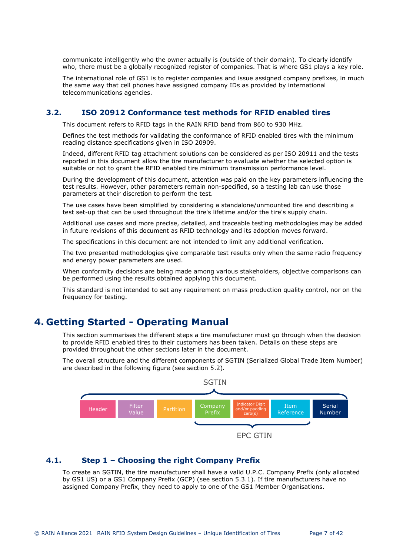communicate intelligently who the owner actually is (outside of their domain). To clearly identify who, there must be a globally recognized register of companies. That is where GS1 plays a key role.

The international role of GS1 is to register companies and issue assigned company prefixes, in much the same way that cell phones have assigned company IDs as provided by international telecommunications agencies.

## **3.2. ISO 20912 Conformance test methods for RFID enabled tires**

<span id="page-6-1"></span><span id="page-6-0"></span>This document refers to RFID tags in the RAIN RFID band from 860 to 930 MHz.

Defines the test methods for validating the conformance of RFID enabled tires with the minimum reading distance specifications given in ISO 20909.

Indeed, different RFID tag attachment solutions can be considered as per ISO 20911 and the tests reported in this document allow the tire manufacturer to evaluate whether the selected option is suitable or not to grant the RFID enabled tire minimum transmission performance level.

During the development of this document, attention was paid on the key parameters influencing the test results. However, other parameters remain non-specified, so a testing lab can use those parameters at their discretion to perform the test.

The use cases have been simplified by considering a standalone/unmounted tire and describing a test set-up that can be used throughout the tire's lifetime and/or the tire's supply chain.

Additional use cases and more precise, detailed, and traceable testing methodologies may be added in future revisions of this document as RFID technology and its adoption moves forward.

The specifications in this document are not intended to limit any additional verification.

The two presented methodologies give comparable test results only when the same radio frequency and energy power parameters are used.

When conformity decisions are being made among various stakeholders, objective comparisons can be performed using the results obtained applying this document.

This standard is not intended to set any requirement on mass production quality control, nor on the frequency for testing.

## <span id="page-6-2"></span>**4. Getting Started - Operating Manual**

This section summarises the different steps a tire manufacturer must go through when the decision to provide RFID enabled tires to their customers has been taken. Details on these steps are provided throughout the other sections later in the document.

The overall structure and the different components of SGTIN (Serialized Global Trade Item Number) are described in the following figure (see section [5.2](#page-11-4)).



## **4.1. Step 1 – Choosing the right Company Prefix**

<span id="page-6-3"></span>To create an SGTIN, the tire manufacturer shall have a v[alid U.](#page-13-0)P.C. Company Prefix (only allocated by GS1 US) or a GS1 Company Prefix (GCP) (see section 5.3.1). If tire manufacturers have no assigned Company Prefix, they need to apply to one of the GS1 Member Organisations.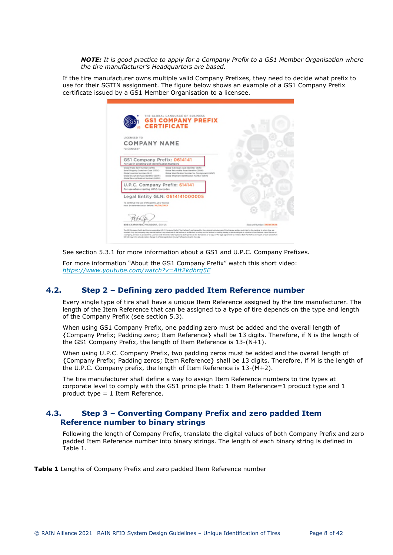*NOTE: It is good practice to apply for a Company Prefix to a GS1 Member Organisation where the tire manufacturer's Headquarters are based.* 

If the tire manufacturer owns multiple valid Company Prefixes, they need to decide what prefix to use for their SGTIN assignment. The figure below shows an example of a GS1 Company Prefix certificate issued by a GS1 Member Organisation to a licensee.

| <b>GS1 COMPANY PREFIX</b><br><b>CERTIFICATE</b>                                                                                                                                                                                                                                                                                                                                            |                                 |
|--------------------------------------------------------------------------------------------------------------------------------------------------------------------------------------------------------------------------------------------------------------------------------------------------------------------------------------------------------------------------------------------|---------------------------------|
| LICENSED TO<br><b>COMPANY NAME</b><br>"LICENSEE"                                                                                                                                                                                                                                                                                                                                           |                                 |
| GS1 Company Prefix: 0614141<br>For use in creating GSI Identification Numbers                                                                                                                                                                                                                                                                                                              |                                 |
| Golval individual Asset Identifies (SAC)<br>Global Trade barn Number (GTW)<br>Global Returnable Asset Identifier (GRAS)<br>Serial Shipping Container Code (SSCC)<br>Global Location Number (GLN)<br>Global Identification Number for Consignment (GNC)<br>Global Document Type Identifier (GD/X)<br>Global Shipmant Islantification Number (GSIN)<br>Global Service Relation Number (SSRN) |                                 |
| U.P.C. Company Prefix: 614141<br>For use when creating U.P.C. barcodes                                                                                                                                                                                                                                                                                                                     |                                 |
| Legal Entity GLN: 0614141000005                                                                                                                                                                                                                                                                                                                                                            |                                 |
| To continue the use of this prefix, your license<br>must be received on or before: KX/XX/XXXX                                                                                                                                                                                                                                                                                              |                                 |
|                                                                                                                                                                                                                                                                                                                                                                                            |                                 |
| BOB CARPENTER, PRESIDENT, GSI US                                                                                                                                                                                                                                                                                                                                                           | <b>Account Number EXECUTIVE</b> |

See section [5.3.1](#page-13-0) for more information about a GS1 and U.P.C. Company Prefixes.

For more information "About the GS1 Company Prefix" watch this short video: *<https://www.youtube.com/watch?v=Aft2kdhrq5E>*

## **4.2. Step 2 – Defining zero padded Item Reference number**

<span id="page-7-0"></span>Every single type of tire shall have a unique Item Reference assigned by the tire manufacturer. The length of the Item Reference that can be assigned to a type of tire depends on the type and length of the Company Prefix (see section [5.3](#page-12-1)).

When using GS1 Company Prefix, one padding zero must be added and the overall length of {Company Prefix; Padding zero; Item Reference} shall be 13 digits. Therefore, if N is the length of the GS1 Company Prefix, the length of Item Reference is 13-(N+1).

When using U.P.C. Company Prefix, two padding zeros must be added and the overall length of {Company Prefix; Padding zeros; Item Reference} shall be 13 digits. Therefore, if M is the length of the U.P.C. Company prefix, the length of Item Reference is 13-(M+2).

The tire manufacturer shall define a way to assign Item Reference numbers to tire types at corporate level to comply with the GS1 principle that: 1 Item Reference=1 product type and 1 product type = 1 Item Reference.

## **4.3. Step 3 – Converting Company Prefix and zero padded Item Reference number to binary strings**

<span id="page-7-1"></span>Following the length of Company Prefix, translate the digital values of both Company Prefix and zero padded Item Reference number into binary strings. The length of each binary string is defined in [Table 1](#page-7-2).

<span id="page-7-2"></span>**Table 1** Lengths of Company Prefix and zero padded Item Reference number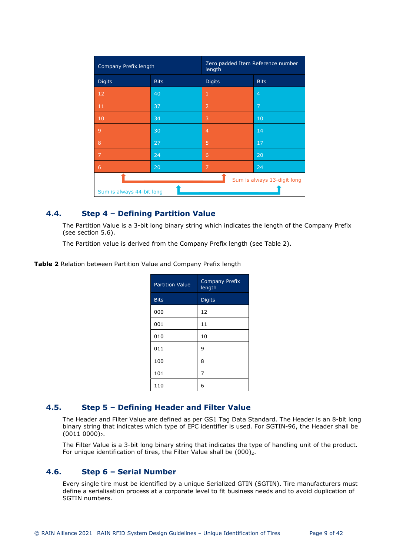| Company Prefix length       |             | Zero padded Item Reference number<br>length |                |
|-----------------------------|-------------|---------------------------------------------|----------------|
| <b>Digits</b>               | <b>Bits</b> | <b>Digits</b>                               | <b>Bits</b>    |
| 12                          | 40          | 1                                           | $\overline{4}$ |
| 11                          | 37          | $\overline{2}$                              | 7              |
| 10                          | 34          | 3                                           | 10             |
| 9                           | 30          | $\overline{4}$                              | 14             |
| 8                           | 27          | 5                                           | 17             |
| 7                           | 24          | 6                                           | 20             |
| 6                           | 20          | 7                                           | 24             |
| Sum is always 13-digit long |             |                                             |                |
| Sum is always 44-bit long   |             |                                             |                |

## **4.4. Step 4 – Defining Partition Value**

<span id="page-8-0"></span>The Partition Value is a 3-bit long binary string which indicates the length of the Company Prefix (see section [5.6](#page-17-0)).

The Partition value is derived from the Company Prefix length (see [Table 2](#page-8-3)).

<span id="page-8-3"></span>**Table 2** Relation between Partition Value and Company Prefix length

| <b>Partition Value</b> | <b>Company Prefix</b><br>length |
|------------------------|---------------------------------|
| <b>Bits</b>            | <b>Digits</b>                   |
| 000                    | 12                              |
| 001                    | 11                              |
| 010                    | 10                              |
| 011                    | 9                               |
| 100                    | 8                               |
| 101                    | 7                               |
| 110                    | 6                               |

## **4.5. Step 5 – Defining Header and Filter Value**

<span id="page-8-1"></span>The Header and Filter Value are defined as per GS1 Tag Data Standard. The Header is an 8-bit long binary string that indicates which type of EPC identifier is used. For SGTIN-96, the Header shall be  $(0011 0000)$ <sub>2</sub>.

The Filter Value is a 3-bit long binary string that indicates the type of handling unit of the product. For unique identification of tires, the Filter Value shall be  $(000)_2$ .

## **4.6. Step 6 – Serial Number**

<span id="page-8-2"></span>Every single tire must be identified by a unique Serialized GTIN (SGTIN). Tire manufacturers must define a serialisation process at a corporate level to fit business needs and to avoid duplication of SGTIN numbers.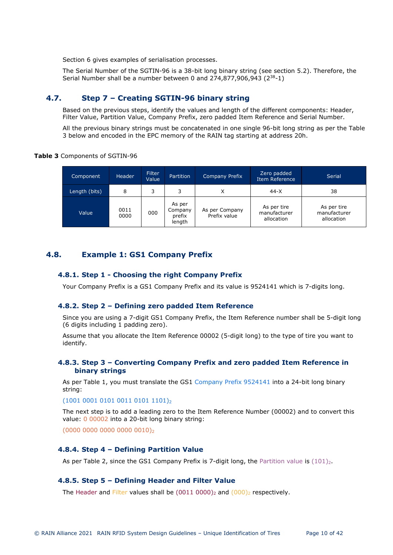Section [6](#page-20-0) gives examples of serialisation processes.

The Serial Number of the SGTIN-96 is a 38-bit long binary string (see section [5.2\)](#page-11-4). Therefore, the Serial Number shall be a number between 0 and  $274.877.906.943$  ( $2^{38}-1$ )

## **4.7. Step 7 – Creating SGTIN-96 binary string**

<span id="page-9-0"></span>Based on the previous steps, identify the values and length of the different components: Header, Filter Value, Partition Value, Company Prefix, zero padded Item Reference and Serial Number.

[All the previous binary strings must be concatenated in one single 96-bit long string as per the Table](#page-9-7)  3 below and encoded in the EPC memory of the RAIN tag starting at address 20h.

### <span id="page-9-7"></span>**Table 3** Components of SGTIN-96

| Component     | <b>Header</b> | Filter<br>Value | <b>Partition</b>                      | <b>Company Prefix</b>          | Zero padded<br>Item Reference             | Serial                                    |
|---------------|---------------|-----------------|---------------------------------------|--------------------------------|-------------------------------------------|-------------------------------------------|
| Length (bits) | 8             | 3               | ₹                                     | Χ                              | $44-X$                                    | 38                                        |
| Value         | 0011<br>0000  | 000             | As per<br>Company<br>prefix<br>length | As per Company<br>Prefix value | As per tire<br>manufacturer<br>allocation | As per tire<br>manufacturer<br>allocation |

## <span id="page-9-1"></span>**4.8. Example 1: GS1 Company Prefix**

## <span id="page-9-2"></span>**4.8.1. Step 1 - Choosing the right Company Prefix**

Your Company Prefix is a GS1 Company Prefix and its value is 9524141 which is 7-digits long.

## <span id="page-9-3"></span>**4.8.2. Step 2 – Defining zero padded Item Reference**

Since you are using a 7-digit GS1 Company Prefix, the Item Reference number shall be 5-digit long (6 digits including 1 padding zero).

Assume that you allocate the Item Reference 00002 (5-digit long) to the type of tire you want to identify.

## <span id="page-9-4"></span>**4.8.3. Step 3 – Converting Company Prefix and zero padded Item Reference in binary strings**

As per [Table 1](#page-7-2), you must translate the GS1 Company Prefix 9524141 into a 24-bit long binary string:

(1001 0001 0101 0011 0101 1101)<sup>2</sup>

The next step is to add a leading zero to the Item Reference Number (00002) and to convert this value: 0 00002 into a 20-bit long binary string:

(0000 0000 0000 0000 0010)<sup>2</sup>

## <span id="page-9-5"></span>**4.8.4. Step 4 – Defining Partition Value**

As per [Table 2](#page-8-3), since the GS1 Company Prefix is 7-digit long, the Partition value is  $(101)_2$ .

## <span id="page-9-6"></span>**4.8.5. Step 5 – Defining Header and Filter Value**

The Header and Filter values shall be  $(0011 0000)_2$  and  $(000)_2$  respectively.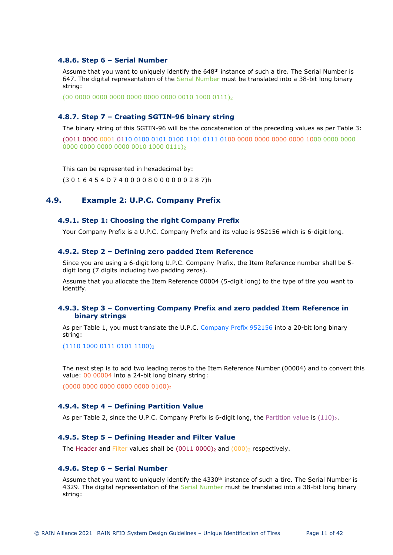### <span id="page-10-0"></span>**4.8.6. Step 6 – Serial Number**

Assume that you want to uniquely identify the 648<sup>th</sup> instance of such a tire. The Serial Number is 647. The digital representation of the Serial Number must be translated into a 38-bit long binary string:

(00 0000 0000 0000 0000 0000 0000 0010 1000 0111)

## <span id="page-10-1"></span>**4.8.7. Step 7 – Creating SGTIN-96 binary string**

The binary string of this SGTIN-96 will be the concatenation of the preceding values as per [Table 3](#page-9-7):

(0011 0000 0001 0110 0100 0101 0100 1101 0111 0100 0000 0000 0000 0000 1000 0000 0000 0000 0000 0000 0000 0010 1000 0111)

This can be represented in hexadecimal by:

<span id="page-10-2"></span>(3 0 1 6 4 5 4 D 7 4 0 0 0 0 8 0 0 0 0 0 0 2 8 7)h

## **4.9. Example 2: U.P.C. Company Prefix**

## <span id="page-10-3"></span>**4.9.1. Step 1: Choosing the right Company Prefix**

Your Company Prefix is a U.P.C. Company Prefix and its value is 952156 which is 6-digit long.

### <span id="page-10-4"></span>**4.9.2. Step 2 – Defining zero padded Item Reference**

Since you are using a 6-digit long U.P.C. Company Prefix, the Item Reference number shall be 5 digit long (7 digits including two padding zeros).

Assume that you allocate the Item Reference 00004 (5-digit long) to the type of tire you want to identify.

## <span id="page-10-5"></span>**4.9.3. Step 3 – Converting Company Prefix and zero padded Item Reference in binary strings**

As per [Table 1](#page-7-2), you must translate the U.P.C. Company Prefix 952156 into a 20-bit long binary string:

(1110 1000 0111 0101 1100)<sup>2</sup>

The next step is to add two leading zeros to the Item Reference Number (00004) and to convert this value: 00 00004 into a 24-bit long binary string:

(0000 0000 0000 0000 0000 0100)

## <span id="page-10-6"></span>**4.9.4. Step 4 – Defining Partition Value**

As per [Table 2](#page-8-3), since the U.P.C. Company Prefix is 6-digit long, the Partition value is  $(110)_2$ .

## <span id="page-10-7"></span>**4.9.5. Step 5 – Defining Header and Filter Value**

The Header and Filter values shall be  $(0011 0000)_2$  and  $(000)_2$  respectively.

### <span id="page-10-8"></span>**4.9.6. Step 6 – Serial Number**

Assume that you want to uniquely identify the 4330<sup>th</sup> instance of such a tire. The Serial Number is 4329. The digital representation of the Serial Number must be translated into a 38-bit long binary string: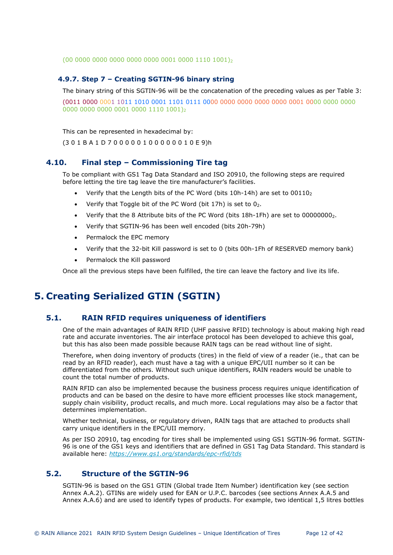(00 0000 0000 0000 0000 0000 0001 0000 1110 1001)

## <span id="page-11-0"></span>**4.9.7. Step 7 – Creating SGTIN-96 binary string**

The binary string of this SGTIN-96 will be the concatenation of the preceding values as per [Table 3](#page-9-7):

(0011 0000 0001 1011 1010 0001 1101 0111 0000 0000 0000 0000 0000 0001 0000 0000 0000 0000 0000 0000 0001 0000 1110 1001)<sup>2</sup>

This can be represented in hexadecimal by:

<span id="page-11-1"></span>(3 0 1 B A 1 D 7 0 0 0 0 0 1 0 0 0 0 0 0 1 0 E 9)h

## **4.10. Final step – Commissioning Tire tag**

To be compliant with GS1 Tag Data Standard and ISO 20910, the following steps are required before letting the tire tag leave the tire manufacturer's facilities.

- Verify that the Length bits of the PC Word (bits  $10h-14h$ ) are set to  $00110<sub>2</sub>$
- Verify that Toggle bit of the PC Word (bit  $17h$ ) is set to  $0<sub>2</sub>$ .
- Verify that the 8 Attribute bits of the PC Word (bits 18h-1Fh) are set to 000000002.
- Verify that SGTIN-96 has been well encoded (bits 20h-79h)
- Permalock the EPC memory
- Verify that the 32-bit Kill password is set to 0 (bits 00h-1Fh of RESERVED memory bank)
- Permalock the Kill password

Once all the previous steps have been fulfilled, the tire can leave the factory and live its life.

## <span id="page-11-2"></span>**5. Creating Serialized GTIN (SGTIN)**

## **5.1. RAIN RFID requires uniqueness of identifiers**

<span id="page-11-3"></span>One of the main advantages of RAIN RFID (UHF passive RFID) technology is about making high read rate and accurate inventories. The air interface protocol has been developed to achieve this goal, but this has also been made possible because RAIN tags can be read without line of sight.

Therefore, when doing inventory of products (tires) in the field of view of a reader (ie., that can be read by an RFID reader), each must have a tag with a unique EPC/UII number so it can be differentiated from the others. Without such unique identifiers, RAIN readers would be unable to count the total number of products.

RAIN RFID can also be implemented because the business process requires unique identification of products and can be based on the desire to have more efficient processes like stock management, supply chain visibility, product recalls, and much more. Local regulations may also be a factor that determines implementation.

Whether technical, business, or regulatory driven, RAIN tags that are attached to products shall carry unique identifiers in the EPC/UII memory.

As per ISO 20910, tag encoding for tires shall be implemented using GS1 SGTIN-96 format. SGTIN-96 is one of the GS1 keys and identifiers that are defined in GS1 Tag Data Standard. This standard is available here: *<https://www.gs1.org/standards/epc-rfid/tds>*

## **5.2. Structure of the SGTIN-96**

<span id="page-11-4"></span>[SGTIN-96 is](#page-36-2) based on the GS1 GTIN (Global trade Item Number) identification [key \(see sect](#page-38-0)ion Annex A.A.2). GTINs are widely used for EAN or U.P.C. barcodes (see sections Annex A.A.5 and [Annex A.A.6\)](#page-38-1) and are used to identify types of products. For example, two identical 1,5 litres bottles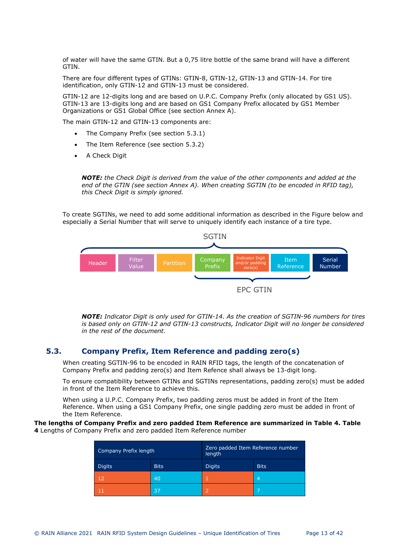of water will have the same GTIN. But a 0,75 litre bottle of the same brand will have a different GTIN.

There are four different types of GTINs: GTIN-8, GTIN-12, GTIN-13 and GTIN-14. For tire identification, only GTIN-12 and GTIN-13 must be considered.

GTIN-12 are 12-digits long and are based on U.P.C. Company Prefix (only allocated by GS1 US). GTIN-13 are 13-digits long and are based on GS1 Company Prefix allocated by GS1 Member Organizations or GS1 Global Office (see section [Annex A\)](#page-36-0).

The main GTIN-12 and GTIN-13 components are:

- The Company Prefix (see section [5.3.1\)](#page-13-1)
- The Item Reference (see section [5.3.2](#page-14-0))
- A Check Digit

*NOTE: the Check Digit is der[ived from](#page-36-0) the value of the other components and added at the end of the GTIN (see section Annex A). When creating SGTIN (to be encoded in RFID tag), this Check Digit is simply ignored.* 

To create SGTINs, we need to add some additional information as described in the Figure below and especially a Serial Number that will serve to uniquely identify each instance of a tire type.



*NOTE: Indicator Digit is only used for GTIN-14. As the creation of SGTIN-96 numbers for tires is based only on GTIN-12 and GTIN-13 constructs, Indicator Digit will no longer be considered in the rest of the document.* 

## **5.3. Company Prefix, Item Reference and padding zero(s)**

<span id="page-12-1"></span><span id="page-12-0"></span>When creating SGTIN-96 to be encoded in RAIN RFID tags, the length of the concatenation of Company Prefix and padding zero(s) and Item Refence shall always be 13-digit long.

To ensure compatibility between GTINs and SGTINs representations, padding zero(s) must be added in front of the Item Reference to achieve this.

When using a U.P.C. Company Prefix, two padding zeros must be added in front of the Item Reference. When using a GS1 Company Prefix, one single padding zero must be added in front of the Item Reference.

### **The lengths of Company Prefix and zero padded Item Reference are summarized in [Table 4.](#page-12-2) Table 4** Lengths of Company Prefix and zero padded Item Reference number

<span id="page-12-2"></span>

| Company Prefix length        |    | Zero padded Item Reference number<br>length |                |
|------------------------------|----|---------------------------------------------|----------------|
| <b>Digits</b><br><b>Bits</b> |    | <b>Digits</b>                               | <b>Bits</b>    |
| 12                           | 40 |                                             | $\overline{4}$ |
|                              | 37 | כי                                          | -              |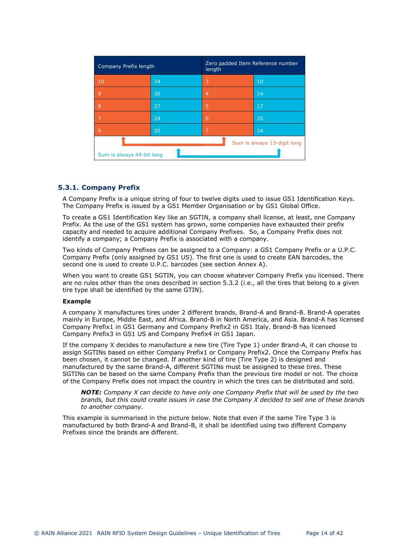| Company Prefix length                                    |    | Zero padded Item Reference number<br>length |    |  |
|----------------------------------------------------------|----|---------------------------------------------|----|--|
| 10                                                       | 34 | 3                                           | 10 |  |
| 9                                                        | 30 | 4                                           | 14 |  |
| 8                                                        | 27 | 5                                           | 17 |  |
| 7                                                        | 24 | 6                                           | 20 |  |
| 6                                                        | 20 | 7                                           | 24 |  |
| Sum is always 13-digit long<br>Sum is always 44-bit long |    |                                             |    |  |

## <span id="page-13-1"></span><span id="page-13-0"></span>**5.3.1. Company Prefix**

A Company Prefix is a unique string of four to twelve digits used to issue GS1 Identification Keys. The Company Prefix is issued by a GS1 Member Organisation or by GS1 Global Office.

To create a GS1 Identification Key like an SGTIN, a company shall license, at least, one Company Prefix. As the use of the GS1 system has grown, some companies have exhausted their prefix capacity and needed to acquire additional Company Prefixes. So, a Company Prefix does not identify a company; a Company Prefix is associated with a company.

Two kinds of Company Prefixes can be assigned to a Company: a GS1 Company Prefix or a U.P.C. Company Prefix (only assigned by GS1 US). The first one is used to create EAN barcodes, the second one is used to create U.P.C. barcodes (see section [Annex A\)](#page-36-0).

When you want to create GS1 SGTIN, you can choos[e what](#page-14-1)ever Company Prefix you licensed. There are no rules other than the ones described in section 5.3.2 (i.e., all the tires that belong to a given tire type shall be identified by the same GTIN).

## **Example**

A company X manufactures tires under 2 different brands, Brand-A and Brand-B. Brand-A operates mainly in Europe, Middle East, and Africa. Brand-B in North America, and Asia. Brand-A has licensed Company Prefix1 in GS1 Germany and Company Prefix2 in GS1 Italy. Brand-B has licensed Company Prefix3 in GS1 US and Company Prefix4 in GS1 Japan.

If the company X decides to manufacture a new tire (Tire Type 1) under Brand-A, it can choose to assign SGTINs based on either Company Prefix1 or Company Prefix2. Once the Company Prefix has been chosen, it cannot be changed. If another kind of tire (Tire Type 2) is designed and manufactured by the same Brand-A, different SGTINs must be assigned to these tires. These SGTINs can be based on the same Company Prefix than the previous tire model or not. The choice of the Company Prefix does not impact the country in which the tires can be distributed and sold.

*NOTE: Company X can decide to have only one Company Prefix that will be used by the two brands, but this could create issues in case the Company X decided to sell one of these brands to another company.*

This example is summarised in the picture below. Note that even if the same Tire Type 3 is manufactured by both Brand-A and Brand-B, it shall be identified using two different Company Prefixes since the brands are different.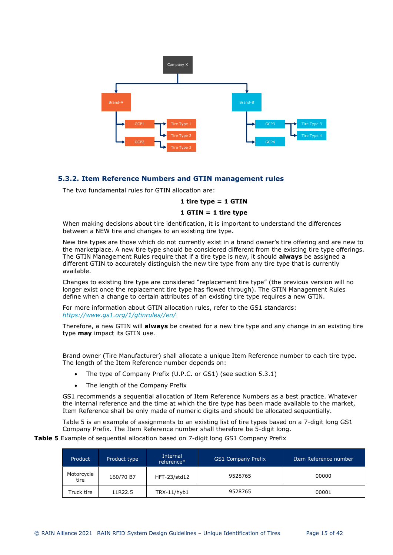

## <span id="page-14-1"></span><span id="page-14-0"></span>**5.3.2. Item Reference Numbers and GTIN management rules**

The two fundamental rules for GTIN allocation are:

### **1 tire type = 1 GTIN**

### **1 GTIN = 1 tire type**

When making decisions about tire identification, it is important to understand the differences between a NEW tire and changes to an existing tire type.

New tire types are those which do not currently exist in a brand owner's tire offering and are new to the marketplace. A new tire type should be considered different from the existing tire type offerings. The GTIN Management Rules require that if a tire type is new, it should **always** be assigned a different GTIN to accurately distinguish the new tire type from any tire type that is currently available.

Changes to existing tire type are considered "replacement tire type" (the previous version will no longer exist once the replacement tire type has flowed through). The GTIN Management Rules define when a change to certain attributes of an existing tire type requires a new GTIN.

For more information about GTIN allocation rules, refer to the GS1 standards: *<https://www.gs1.org/1/gtinrules//en/>*

Therefore, a new GTIN will **always** be created for a new tire type and any change in an existing tire type **may** impact its GTIN use.

Brand owner (Tire Manufacturer) shall allocate a unique Item Reference number to each tire type. The length of the Item Reference number depends on:

- The type of Company Prefix (U.P.C. or GS1) (see section [5.3.1](#page-13-1))
- The length of the Company Prefix

GS1 recommends a sequential allocation of Item Reference Numbers as a best practice. Whatever the internal reference and the time at which the tire type has been made available to the market, Item Reference shall be only made of numeric digits and should be allocated sequentially.

[Table 5](#page-14-2) is an example of assignments to an existing list of tire types based on a 7-digit long GS1 Company Prefix. The Item Reference number shall therefore be 5-digit long.

<span id="page-14-2"></span>**Table 5** Example of sequential allocation based on 7-digit long GS1 Company Prefix

| Product            | Product type | Internal<br>reference* | <b>GS1 Company Prefix</b> | Item Reference number |
|--------------------|--------------|------------------------|---------------------------|-----------------------|
| Motorcycle<br>tire | 160/70 B7    | HFT-23/std12           | 9528765                   | 00000                 |
| Truck tire         | 11R22.5      | TRX-11/hyb1            | 9528765                   | 00001                 |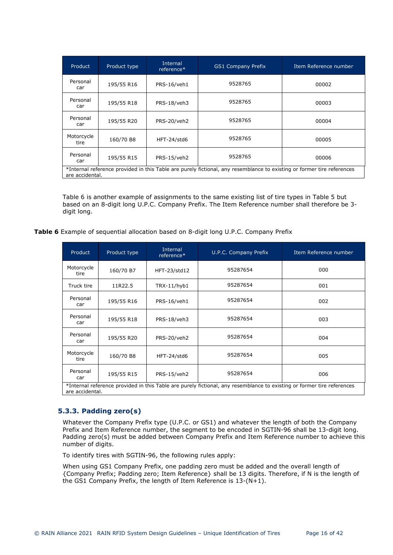| Product                                                                                                                                   | Product type | Internal<br>reference* | <b>GS1 Company Prefix</b> | Item Reference number |
|-------------------------------------------------------------------------------------------------------------------------------------------|--------------|------------------------|---------------------------|-----------------------|
| Personal<br>car                                                                                                                           | 195/55 R16   | PRS-16/veh1            | 9528765                   | 00002                 |
| Personal<br>car                                                                                                                           | 195/55 R18   | PRS-18/veh3            | 9528765                   | 00003                 |
| Personal<br>car                                                                                                                           | 195/55 R20   | PRS-20/veh2            | 9528765                   | 00004                 |
| Motorcycle<br>tire                                                                                                                        | 160/70 B8    | HFT-24/std6            | 9528765                   | 00005                 |
| Personal<br>car                                                                                                                           | 195/55 R15   | PRS-15/veh2            | 9528765                   | 00006                 |
| *Internal reference provided in this Table are purely fictional, any resemblance to existing or former tire references<br>are accidental. |              |                        |                           |                       |

[Table 6](#page-15-1) is another example of assignments to the same existing list of tire types in [Table 5](#page-14-2) but based on an 8-digit long U.P.C. Company Prefix. The Item Reference number shall therefore be 3 digit long.

<span id="page-15-1"></span>

|  |  | Table 6 Example of sequential allocation based on 8-digit long U.P.C. Company Prefix |  |  |  |  |
|--|--|--------------------------------------------------------------------------------------|--|--|--|--|
|  |  |                                                                                      |  |  |  |  |

| Product            | Product type                                                                                                                              | Internal<br>reference* | U.P.C. Company Prefix | Item Reference number |  |
|--------------------|-------------------------------------------------------------------------------------------------------------------------------------------|------------------------|-----------------------|-----------------------|--|
| Motorcycle<br>tire | 160/70 B7                                                                                                                                 | HFT-23/std12           | 95287654              | 000                   |  |
| Truck tire         | 11R22.5                                                                                                                                   | TRX-11/hyb1            | 95287654              | 001                   |  |
| Personal<br>car    | 195/55 R16                                                                                                                                | PRS-16/veh1            | 95287654              | 002                   |  |
| Personal<br>car    | 195/55 R18                                                                                                                                | PRS-18/veh3            | 95287654              | 003                   |  |
| Personal<br>car    | 195/55 R20                                                                                                                                | PRS-20/veh2            | 95287654              | 004                   |  |
| Motorcycle<br>tire | 160/70 B8                                                                                                                                 | HFT-24/std6            | 95287654              | 005                   |  |
| Personal<br>car    | 195/55 R15                                                                                                                                | PRS-15/veh2            | 95287654              | 006                   |  |
|                    | *Internal reference provided in this Table are purely fictional, any resemblance to existing or former tire references<br>are accidental. |                        |                       |                       |  |

## <span id="page-15-0"></span>**5.3.3. Padding zero(s)**

Whatever the Company Prefix type (U.P.C. or GS1) and whatever the length of both the Company Prefix and Item Reference number, the segment to be encoded in SGTIN-96 shall be 13-digit long. Padding zero(s) must be added between Company Prefix and Item Reference number to achieve this number of digits.

To identify tires with SGTIN-96, the following rules apply:

When using GS1 Company Prefix, one padding zero must be added and the overall length of {Company Prefix; Padding zero; Item Reference} shall be 13 digits. Therefore, if N is the length of the GS1 Company Prefix, the length of Item Reference is 13-(N+1).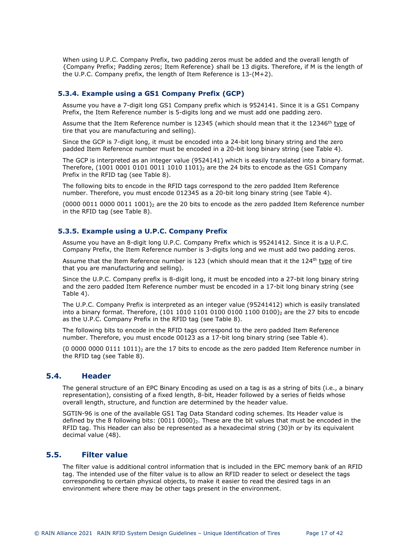When using U.P.C. Company Prefix, two padding zeros must be added and the overall length of {Company Prefix; Padding zeros; Item Reference} shall be 13 digits. Therefore, if M is the length of the U.P.C. Company prefix, the length of Item Reference is 13-(M+2).

## <span id="page-16-0"></span>**5.3.4. Example using a GS1 Company Prefix (GCP)**

Assume you have a 7-digit long GS1 Company prefix which is 9524141. Since it is a GS1 Company Prefix, the Item Reference number is 5-digits long and we must add one padding zero.

Assume that the Item Reference number is 12345 (which should mean that it the 12346<sup>th</sup> type of tire that you are manufacturing and selling).

Since the GCP is 7-digit long, it must be encoded into a 24-bit long binary string and the zero padded Item Reference number must be encoded in a 20-bit long binary string (see [Table 4](#page-12-2)).

The GCP is interpreted as an integer value (9524141) which is easily translated into a binary format. Therefore, (1001 0001 0101 0011 1010 1101)<sub>2</sub> are the 24 bits to encode as the GS1 Company Prefix in the RFID tag (see [Table 8\)](#page-17-3).

The following bits to encode in the RFID tags correspond to the zero padded Item Reference number. Therefore, you must encode 012345 as a 20-bit long binary string (see [Table 4\)](#page-12-2).

(0000 0011 0000 0011 1001) $_2$  are the 20 bits to encode as the zero padded Item Reference number in the RFID tag (see [Table 8](#page-17-3)).

## <span id="page-16-1"></span>**5.3.5. Example using a U.P.C. Company Prefix**

Assume you have an 8-digit long U.P.C. Company Prefix which is 95241412. Since it is a U.P.C. Company Prefix, the Item Reference number is 3-digits long and we must add two padding zeros.

Assume that the Item Reference number is 123 (which should mean that it the 124<sup>th</sup> type of tire that you are manufacturing and selling).

Since the U.P.C. Company prefix is 8-digit long, it must be encoded into a 27-bit long binary string and the zero padded Item Reference number must be encoded in a 17-bit long binary string (see [Table 4](#page-12-2)).

The U.P.C. Company Prefix is interpreted as an integer value (95241412) which is easily translated into a binary format. Therefore,  $(101 1010 1101 0100 0100 1100 0100)_2$  are the 27 bits to encode as the U.P.C. Company Prefix in the RFID tag (see [Table 8\)](#page-17-3).

The following bits to encode in the RFID tags correspond to the zero padded Item Reference number. Therefore, you must encode 00123 as a 17-bit long binary string (see [Table 4](#page-12-2)).

 $(0\ 0000\ 0000\ 0111\ 1011)_2$  are the 17 bits to encode as the zero padded Item Reference number in the RFID tag (see [Table 8\)](#page-17-3).

## **5.4. Header**

<span id="page-16-2"></span>The general structure of an EPC Binary Encoding as used on a tag is as a string of bits (i.e., a binary representation), consisting of a fixed length, 8-bit, Header followed by a series of fields whose overall length, structure, and function are determined by the header value.

SGTIN-96 is one of the available GS1 Tag Data Standard coding schemes. Its Header value is defined by the 8 following bits:  $(0011 0000)_2$ . These are the bit values that must be encoded in the RFID tag. This Header can also be represented as a hexadecimal string (30)h or by its equivalent decimal value (48).

## **5.5. Filter value**

<span id="page-16-3"></span>The filter value is additional control information that is included in the EPC memory bank of an RFID tag. The intended use of the filter value is to allow an RFID reader to select or deselect the tags corresponding to certain physical objects, to make it easier to read the desired tags in an environment where there may be other tags present in the environment.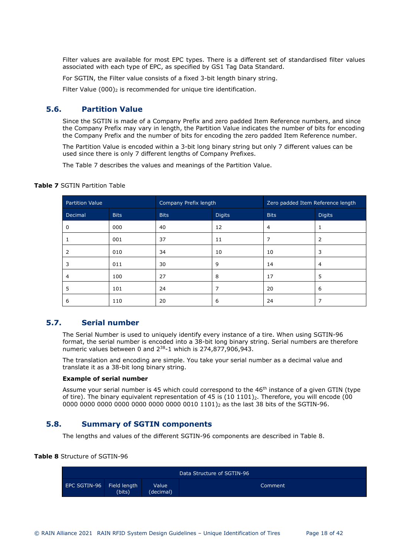Filter values are available for most EPC types. There is a different set of standardised filter values associated with each type of EPC, as specified by GS1 Tag Data Standard.

For SGTIN, the Filter value consists of a fixed 3-bit length binary string.

<span id="page-17-0"></span>Filter Value  $(000)$ <sub>2</sub> is recommended for unique tire identification.

## **5.6. Partition Value**

Since the SGTIN is made of a Company Prefix and zero padded Item Reference numbers, and since the Company Prefix may vary in length, the Partition Value indicates the number of bits for encoding the Company Prefix and the number of bits for encoding the zero padded Item Reference number.

The Partition Value is encoded within a 3-bit long binary string but only 7 different values can be used since there is only 7 different lengths of Company Prefixes.

The [Table 7](#page-17-4) describes the values and meanings of the Partition Value.

| Partition Value |             | Company Prefix length |               | Zero padded Item Reference length |                |
|-----------------|-------------|-----------------------|---------------|-----------------------------------|----------------|
| Decimal         | <b>Bits</b> | <b>Bits</b>           | <b>Digits</b> | <b>Bits</b>                       | <b>Digits</b>  |
| 0               | 000         | 40                    | 12            | $\overline{4}$                    |                |
|                 | 001         | 37                    | 11            |                                   | 2              |
| 2               | 010         | 34                    | 10            | 10                                | 3              |
| 3               | 011         | 30                    | 9             | 14                                | $\overline{4}$ |
| 4               | 100         | 27                    | 8             | 17                                | 5              |
| 5               | 101         | 24                    | 7             | 20                                | 6              |
| 6               | 110         | 20                    | 6             | 24                                | 7              |

## <span id="page-17-4"></span>**Table 7** SGTIN Partition Table

## **5.7. Serial number**

<span id="page-17-5"></span><span id="page-17-1"></span>The Serial Number is used to uniquely identify every instance of a tire. When using SGTIN-96 format, the serial number is encoded into a 38-bit long binary string. Serial numbers are therefore numeric values between 0 and 2<sup>38</sup>-1 which is 274,877,906,943.

The translation and encoding are simple. You take your serial number as a decimal value and translate it as a 38-bit long binary string.

## **Example of serial number**

Assume your serial number is 45 which could correspond to the  $46<sup>th</sup>$  instance of a given GTIN (type of tire). The binary equivalent representation of 45 is (10 1101)<sub>2</sub>. Therefore, you will encode (00 0000 0000 0000 0000 0000 0000 0000 0010 1101)2 as the last 38 bits of the SGTIN-96.

## **5.8. Summary of SGTIN components**

<span id="page-17-2"></span>The lengths and values of the different SGTIN-96 components are described in [Table 8.](#page-17-3)

## <span id="page-17-3"></span>**Table 8** Structure of SGTIN-96

| Data Structure of SGTIN-96 |                        |                    |         |  |  |  |
|----------------------------|------------------------|--------------------|---------|--|--|--|
| EPC SGTIN-96               | Field length<br>(bits) | Value<br>(decimal) | Comment |  |  |  |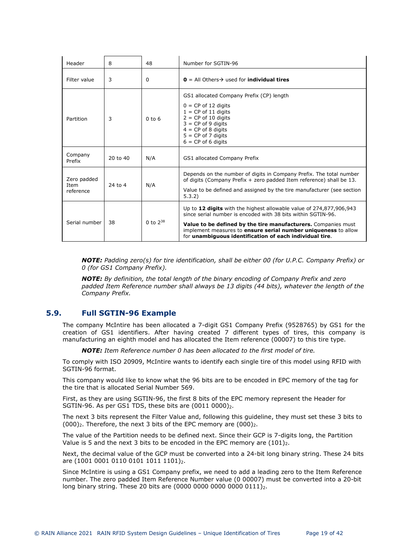| Header                           | 8        | 48            | Number for SGTIN-96                                                                                                                                                                                                                                                                                                               |
|----------------------------------|----------|---------------|-----------------------------------------------------------------------------------------------------------------------------------------------------------------------------------------------------------------------------------------------------------------------------------------------------------------------------------|
| Filter value                     | 3        | 0             | $\mathbf{0}$ = All Others $\rightarrow$ used for <b>individual tires</b>                                                                                                                                                                                                                                                          |
| Partition                        | 3        | $0$ to $6$    | GS1 allocated Company Prefix (CP) length<br>$0 = CP$ of 12 digits<br>$1 = CP$ of 11 digits<br>$2 = CP$ of 10 digits<br>$3 = CP$ of 9 digits<br>$4 = CP$ of 8 digits<br>$5 = CP$ of 7 digits<br>$6 = CP$ of 6 digits                                                                                                               |
| Company<br>Prefix                | 20 to 40 | N/A           | GS1 allocated Company Prefix                                                                                                                                                                                                                                                                                                      |
| Zero padded<br>Item<br>reference | 24 to 4  | N/A           | Depends on the number of digits in Company Prefix. The total number<br>of digits (Company Prefix + zero padded Item reference) shall be 13.<br>Value to be defined and assigned by the tire manufacturer (see section<br>5.3.2)                                                                                                   |
| Serial number                    | 38       | 0 to $2^{38}$ | Up to 12 digits with the highest allowable value of 274,877,906,943<br>since serial number is encoded with 38 bits within SGTIN-96.<br>Value to be defined by the tire manufacturers. Companies must<br>implement measures to ensure serial number uniqueness to allow<br>for unambiguous identification of each individual tire. |

*NOTE: Padding zero(s) for tire identification, shall be either 00 (for U.P.C. Company Prefix) or 0 (for GS1 Company Prefix).*

*NOTE: By definition, the total length of the binary encoding of Company Prefix and zero*  padded Item Reference number shall always be 13 digits (44 bits), whatever the length of the *Company Prefix.* 

## **5.9. Full SGTIN-96 Example**

<span id="page-18-0"></span>The company McIntire has been allocated a 7-digit GS1 Company Prefix (9528765) by GS1 for the creation of GS1 identifiers. After having created 7 different types of tires, this company is manufacturing an eighth model and has allocated the Item reference (00007) to this tire type.

*NOTE: Item Reference number 0 has been allocated to the first model of tire.* 

To comply with ISO 20909, McIntire wants to identify each single tire of this model using RFID with SGTIN-96 format.

This company would like to know what the 96 bits are to be encoded in EPC memory of the tag for the tire that is allocated Serial Number 569.

First, as they are using SGTIN-96, the first 8 bits of the EPC memory represent the Header for SGTIN-96. As per GS1 TDS, these bits are  $(0011\ 0000)_2$ .

The next 3 bits represent the Filter Value and, following this guideline, they must set these 3 bits to  $(000)_2$ . Therefore, the next 3 bits of the EPC memory are  $(000)_2$ .

The value of the Partition needs to be defined next. Since their GCP is 7-digits long, the Partition Value is 5 and the next 3 bits to be encoded in the EPC memory are  $(101)_2$ .

Next, the decimal value of the GCP must be converted into a 24-bit long binary string. These 24 bits are (1001 0001 0110 0101 1011 1101)<sub>2</sub>.

Since McIntire is using a GS1 Company prefix, we need to add a leading zero to the Item Reference number. The zero padded Item Reference Number value (0 00007) must be converted into a 20-bit long binary string. These 20 bits are  $(0000 0000 0000 0000 0111)_2$ .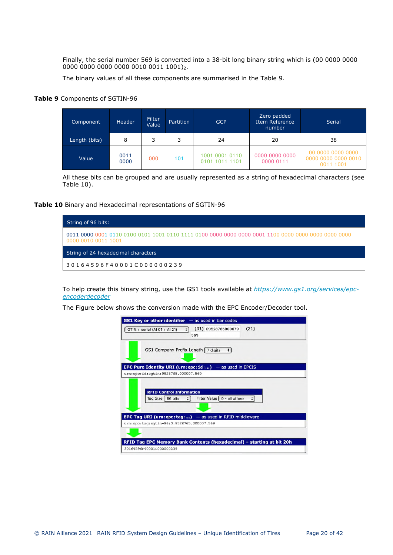Finally, the serial number 569 is converted into a 38-bit long binary string which is (00 0000 0000 0000 0000 0000 0000 0010 0011 1001)2.

The binary values of all these components are summarised in the [Table 9](#page-19-0).

## <span id="page-19-0"></span>**Table 9** Components of SGTIN-96

| Component     | <b>Header</b> | Filter<br>Value | <b>Partition</b> | <b>GCP</b>                       | Zero padded<br>Item Reference<br>number | <b>Serial</b>                                         |
|---------------|---------------|-----------------|------------------|----------------------------------|-----------------------------------------|-------------------------------------------------------|
| Length (bits) | 8             | っ               | 3                | 24                               | 20                                      | 38                                                    |
| Value         | 0011<br>0000  | 000             | 101              | 1001 0001 0110<br>0101 1011 1101 | 0000 0000 0000<br>0000 0111             | 00 0000 0000 0000<br>0000 0000 0000 0010<br>0011 1001 |

All these bits can be grouped and are usually represented as a string of hexadecimal characters (see [Table 10](#page-19-1)).

## <span id="page-19-1"></span>**Table 10** Binary and Hexadecimal representations of SGTIN-96



To help create this binary string, use the GS1 tools available at *[https://www.gs1.org/services/epc](https://www.gs1.org/services/epc-encoderdecoder)[encoderdecoder](https://www.gs1.org/services/epc-encoderdecoder)*

The Figure below shows the conversion made with the EPC Encoder/Decoder tool.

| <b>GS1 Key or other identifier</b> $-$ as used in bar codes                                     |
|-------------------------------------------------------------------------------------------------|
| (21)<br>$(01)$ 09528765000079<br>GTIN + serial (Al 01 + Al 21)<br>۰۱<br>569                     |
| GS1 Company Prefix Length   7 digits<br>$\ddot{•}$                                              |
| <b>EPC Pure Identity URI (urn:epc:id:)</b> - as used in EPCIS                                   |
| urn:epc:id:sqtin:9528765.000007.569                                                             |
| <b>RFID Control Information</b><br>Tag Size   96 bits<br>Filter Value $\int 0 - a \, dt$ others |
| <b>EPC Tag URI (urn:epc:tag:)</b> - as used in RFID middleware                                  |
| urn:epc:tag:sgtin-96:0.9528765.000007.569                                                       |
| RFID Tag EPC Memory Bank Contents (hexadecimal) - starting at bit 20h                           |
| 30164596F40001C000000239                                                                        |
|                                                                                                 |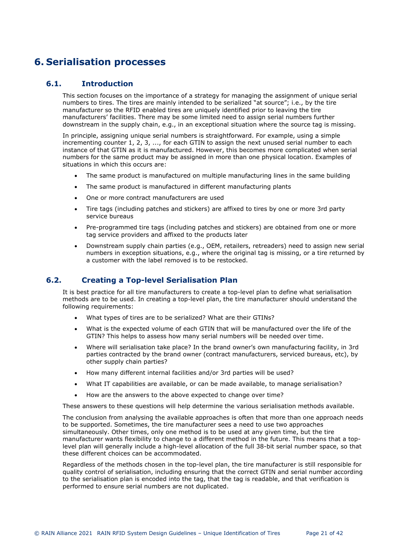## <span id="page-20-0"></span>**6. Serialisation processes**

## **6.1. Introduction**

<span id="page-20-1"></span>This section focuses on the importance of a strategy for managing the assignment of unique serial numbers to tires. The tires are mainly intended to be serialized "at source"; i.e., by the tire manufacturer so the RFID enabled tires are uniquely identified prior to leaving the tire manufacturers' facilities. There may be some limited need to assign serial numbers further downstream in the supply chain, e.g., in an exceptional situation where the source tag is missing.

In principle, assigning unique serial numbers is straightforward. For example, using a simple incrementing counter 1, 2, 3, ..., for each GTIN to assign the next unused serial number to each instance of that GTIN as it is manufactured. However, this becomes more complicated when serial numbers for the same product may be assigned in more than one physical location. Examples of situations in which this occurs are:

- The same product is manufactured on multiple manufacturing lines in the same building
- The same product is manufactured in different manufacturing plants
- One or more contract manufacturers are used
- Tire tags (including patches and stickers) are affixed to tires by one or more 3rd party service bureaus
- Pre-programmed tire tags (including patches and stickers) are obtained from one or more tag service providers and affixed to the products later
- Downstream supply chain parties (e.g., OEM, retailers, retreaders) need to assign new serial numbers in exception situations, e.g., where the original tag is missing, or a tire returned by a customer with the label removed is to be restocked.

## **6.2. Creating a Top-level Serialisation Plan**

<span id="page-20-3"></span><span id="page-20-2"></span>It is best practice for all tire manufacturers to create a top-level plan to define what serialisation methods are to be used. In creating a top-level plan, the tire manufacturer should understand the following requirements:

- What types of tires are to be serialized? What are their GTINs?
- What is the expected volume of each GTIN that will be manufactured over the life of the GTIN? This helps to assess how many serial numbers will be needed over time.
- Where will serialisation take place? In the brand owner's own manufacturing facility, in 3rd parties contracted by the brand owner (contract manufacturers, serviced bureaus, etc), by other supply chain parties?
- How many different internal facilities and/or 3rd parties will be used?
- What IT capabilities are available, or can be made available, to manage serialisation?
- How are the answers to the above expected to change over time?

These answers to these questions will help determine the various serialisation methods available.

The conclusion from analysing the available approaches is often that more than one approach needs to be supported. Sometimes, the tire manufacturer sees a need to use two approaches simultaneously. Other times, only one method is to be used at any given time, but the tire manufacturer wants flexibility to change to a different method in the future. This means that a toplevel plan will generally include a high-level allocation of the full 38-bit serial number space, so that these different choices can be accommodated.

Regardless of the methods chosen in the top-level plan, the tire manufacturer is still responsible for quality control of serialisation, including ensuring that the correct GTIN and serial number according to the serialisation plan is encoded into the tag, that the tag is readable, and that verification is performed to ensure serial numbers are not duplicated.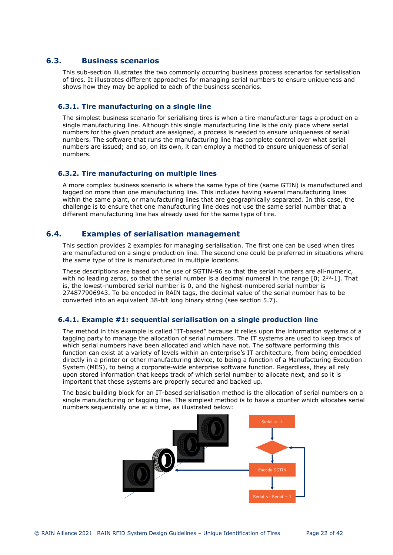## **6.3. Business scenarios**

<span id="page-21-0"></span>This sub-section illustrates the two commonly occurring business process scenarios for serialisation of tires. It illustrates different approaches for managing serial numbers to ensure uniqueness and shows how they may be applied to each of the business scenarios.

## <span id="page-21-1"></span>**6.3.1. Tire manufacturing on a single line**

The simplest business scenario for serialising tires is when a tire manufacturer tags a product on a single manufacturing line. Although this single manufacturing line is the only place where serial numbers for the given product are assigned, a process is needed to ensure uniqueness of serial numbers. The software that runs the manufacturing line has complete control over what serial numbers are issued; and so, on its own, it can employ a method to ensure uniqueness of serial numbers.

## <span id="page-21-2"></span>**6.3.2. Tire manufacturing on multiple lines**

A more complex business scenario is where the same type of tire (same GTIN) is manufactured and tagged on more than one manufacturing line. This includes having several manufacturing lines within the same plant, or manufacturing lines that are geographically separated. In this case, the challenge is to ensure that one manufacturing line does not use the same serial number that a different manufacturing line has already used for the same type of tire.

## **6.4. Examples of serialisation management**

<span id="page-21-5"></span><span id="page-21-3"></span>This section provides 2 examples for managing serialisation. The first one can be used when tires are manufactured on a single production line. The second one could be preferred in situations where the same type of tire is manufactured in multiple locations.

These descriptions are based on the use of SGTIN-96 so that the serial numbers are all-numeric, with no leading zeros, so that the serial number is a decimal numeral in the range  $[0; 2^{38}$ -1]. That is, the lowest-numbered serial number is 0, and the highest-numbered serial number is 274877906943. To be encoded in RAIN tags, the decimal value of the serial number has to be converted into an equivalent 38-bit long binary string (see section [5.7](#page-17-5)).

## <span id="page-21-4"></span>**6.4.1. Example #1: sequential serialisation on a single production line**

The method in this example is called "IT-based" because it relies upon the information systems of a tagging party to manage the allocation of serial numbers. The IT systems are used to keep track of which serial numbers have been allocated and which have not. The software performing this function can exist at a variety of levels within an enterprise's IT architecture, from being embedded directly in a printer or other manufacturing device, to being a function of a Manufacturing Execution System (MES), to being a corporate-wide enterprise software function. Regardless, they all rely upon stored information that keeps track of which serial number to allocate next, and so it is important that these systems are properly secured and backed up.

The basic building block for an IT-based serialisation method is the allocation of serial numbers on a single manufacturing or tagging line. The simplest method is to have a counter which allocates serial numbers sequentially one at a time, as illustrated below:

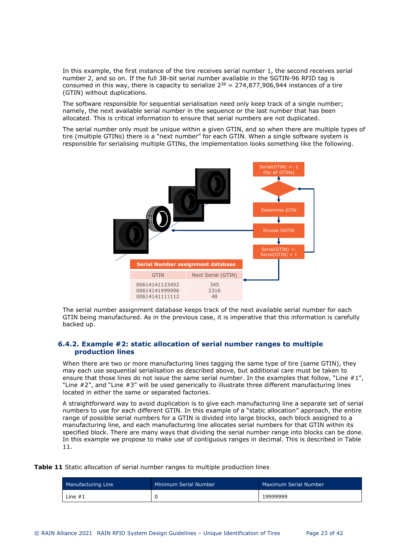In this example, the first instance of the tire receives serial number 1, the second receives serial number 2, and so on. If the full 38-bit serial number available in the SGTIN-96 RFID tag is consumed in this way, there is capacity to serialize  $2^{38} = 274.877.906.944$  instances of a tire (GTIN) without duplications.

The software responsible for sequential serialisation need only keep track of a single number; namely, the next available serial number in the sequence or the last number that has been allocated. This is critical information to ensure that serial numbers are not duplicated.

The serial number only must be unique within a given GTIN, and so when there are multiple types of tire (multiple GTINs) there is a "next number" for each GTIN. When a single software system is responsible for serialising multiple GTINs, the implementation looks something like the following.



The serial number assignment database keeps track of the next available serial number for each GTIN being manufactured. As in the previous case, it is imperative that this information is carefully backed up.

## <span id="page-22-2"></span><span id="page-22-0"></span>**6.4.2. Example #2: static allocation of serial number ranges to multiple production lines**

When there are two or more manufacturing lines tagging the same type of tire (same GTIN), they may each use sequential serialisation as described above, but additional care must be taken to ensure that those lines do not issue the same serial number. In the examples that follow, "Line #1", "Line #2", and "Line #3" will be used generically to illustrate three different manufacturing lines located in either the same or separated factories.

A straightforward way to avoid duplication is to give each manufacturing line a separate set of serial numbers to use for each different GTIN. In this example of a "static allocation" approach, the entire range of possible serial numbers for a GTIN is divided into large blocks, each block assigned to a manufacturing line, and each manufacturing line allocates serial numbers for that GTIN within its specified block. There are many ways that dividing the serial number range into blocks can be [done.](#page-22-1)  In this example we propose to make use of contiguous ranges in decimal. This is described in Table [11.](#page-22-1) 

<span id="page-22-1"></span>**Table 11** Static allocation of serial number ranges to multiple production lines

| Manufacturing Line | Minimum Serial Number | Maximum Serial Number |
|--------------------|-----------------------|-----------------------|
| Line $#1$          |                       | 19999999              |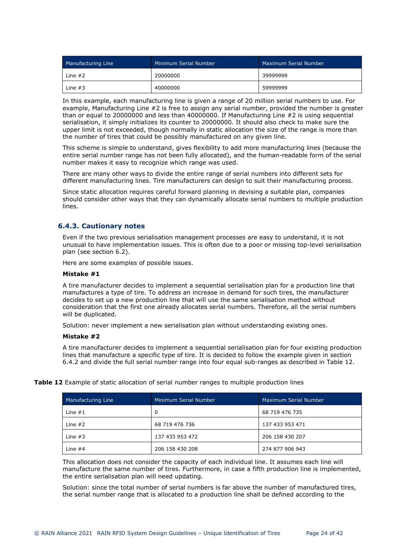| Manufacturing Line | Minimum Serial Number | <b>Maximum Serial Number</b> |
|--------------------|-----------------------|------------------------------|
| Line $#2$          | 20000000              | 39999999                     |
| Line $#3$          | 40000000              | 59999999                     |

In this example, each manufacturing line is given a range of 20 million serial numbers to use. For example, Manufacturing Line #2 is free to assign any serial number, provided the number is greater than or equal to 20000000 and less than 40000000. If Manufacturing Line #2 is using sequential serialisation, it simply initializes its counter to 20000000. It should also check to make sure the upper limit is not exceeded, though normally in static allocation the size of the range is more than the number of tires that could be possibly manufactured on any given line.

This scheme is simple to understand, gives flexibility to add more manufacturing lines (because the entire serial number range has not been fully allocated), and the human-readable form of the serial number makes it easy to recognize which range was used.

There are many other ways to divide the entire range of serial numbers into different sets for different manufacturing lines. Tire manufacturers can design to suit their manufacturing process.

Since static allocation requires careful forward planning in devising a suitable plan, companies should consider other ways that they can dynamically allocate serial numbers to multiple production lines.

## <span id="page-23-0"></span>**6.4.3. Cautionary notes**

Even if the two previous serialisation management processes are easy to understand, it is not unusual to have implementation issues. This is often due to a poor or missing top-level serialisation plan (see section [6.2\)](#page-20-3).

Here are some examples of possible issues.

### **Mistake #1**

A tire manufacturer decides to implement a sequential serialisation plan for a production line that manufactures a type of tire. To address an increase in demand for such tires, the manufacturer decides to set up a new production line that will use the same serialisation method without consideration that the first one already allocates serial numbers. Therefore, all the serial numbers will be duplicated.

Solution: never implement a new serialisation plan without understanding existing ones.

### **Mistake #2**

A tire manufacturer decides to implement a sequential serialisation plan for four existing production lines that manufacture a specific type of tire. It is decided to follow the example given in section [6.4.2](#page-22-2) and divide the full serial number range into four equal sub-ranges as described in [Table 12](#page-23-1).

<span id="page-23-1"></span>**Table 12** Example of static allocation of serial number ranges to multiple production lines

| Manufacturing Line | Minimum Serial Number | <b>Maximum Serial Number</b> |
|--------------------|-----------------------|------------------------------|
| Line $#1$          | 0                     | 68 719 476 735               |
| Line $#2$          | 68 719 476 736        | 137 433 953 471              |
| Line $#3$          | 137 433 953 472       | 206 158 430 207              |
| Line $#4$          | 206 158 430 208       | 274 877 906 943              |

This allocation does not consider the capacity of each individual line. It assumes each line will manufacture the same number of tires. Furthermore, in case a fifth production line is implemented, the entire serialisation plan will need updating.

Solution: since the total number of serial numbers is far above the number of manufactured tires, the serial number range that is allocated to a production line shall be defined according to the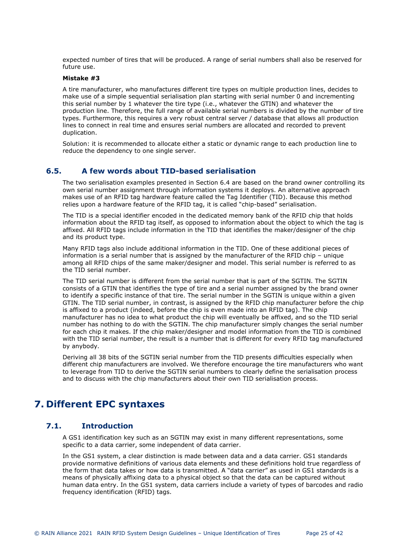expected number of tires that will be produced. A range of serial numbers shall also be reserved for future use.

### **Mistake #3**

A tire manufacturer, who manufactures different tire types on multiple production lines, decides to make use of a simple sequential serialisation plan starting with serial number 0 and incrementing this serial number by 1 whatever the tire type (i.e., whatever the GTIN) and whatever the production line. Therefore, the full range of available serial numbers is divided by the number of tire types. Furthermore, this requires a very robust central server / database that allows all production lines to connect in real time and ensures serial numbers are allocated and recorded to prevent duplication.

Solution: it is recommended to allocate either a static or dynamic range to each production line to reduce the dependency to one single server.

## **6.5. A few words about TID-based serialisation**

<span id="page-24-0"></span>The two serialisation examples presented in Section [6.4](#page-21-5) are based on the brand owner controlling its own serial number assignment through information systems it deploys. An alternative approach makes use of an RFID tag hardware feature called the Tag Identifier (TID). Because this method relies upon a hardware feature of the RFID tag, it is called "chip-based" serialisation.

The TID is a special identifier encoded in the dedicated memory bank of the RFID chip that holds information about the RFID tag itself, as opposed to information about the object to which the tag is affixed. All RFID tags include information in the TID that identifies the maker/designer of the chip and its product type.

Many RFID tags also include additional information in the TID. One of these additional pieces of information is a serial number that is assigned by the manufacturer of the RFID chip – unique among all RFID chips of the same maker/designer and model. This serial number is referred to as the TID serial number.

The TID serial number is different from the serial number that is part of the SGTIN. The SGTIN consists of a GTIN that identifies the type of tire and a serial number assigned by the brand owner to identify a specific instance of that tire. The serial number in the SGTIN is unique within a given GTIN. The TID serial number, in contrast, is assigned by the RFID chip manufacturer before the chip is affixed to a product (indeed, before the chip is even made into an RFID tag). The chip manufacturer has no idea to what product the chip will eventually be affixed, and so the TID serial number has nothing to do with the SGTIN. The chip manufacturer simply changes the serial number for each chip it makes. If the chip maker/designer and model information from the TID is combined with the TID serial number, the result is a number that is different for every RFID tag manufactured by anybody.

Deriving all 38 bits of the SGTIN serial number from the TID presents difficulties especially when different chip manufacturers are involved. We therefore encourage the tire manufacturers who want to leverage from TID to derive the SGTIN serial numbers to clearly define the serialisation process and to discuss with the chip manufacturers about their own TID serialisation process.

## <span id="page-24-1"></span>**7. Different EPC syntaxes**

## **7.1. Introduction**

<span id="page-24-2"></span>A GS1 identification key such as an SGTIN may exist in many different representations, some specific to a data carrier, some independent of data carrier.

In the GS1 system, a clear distinction is made between data and a data carrier. GS1 standards provide normative definitions of various data elements and these definitions hold true regardless of the form that data takes or how data is transmitted. A "data carrier" as used in GS1 standards is a means of physically affixing data to a physical object so that the data can be captured without human data entry. In the GS1 system, data carriers include a variety of types of barcodes and radio frequency identification (RFID) tags.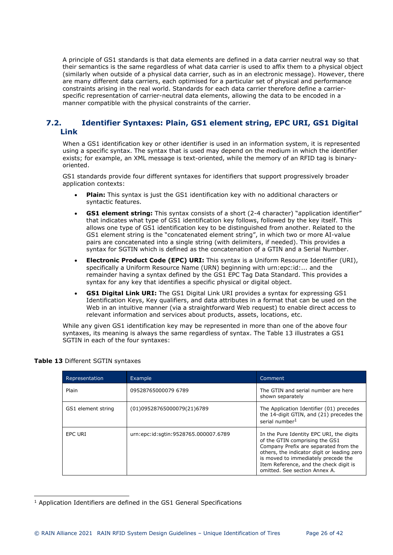A principle of GS1 standards is that data elements are defined in a data carrier neutral way so that their semantics is the same regardless of what data carrier is used to affix them to a physical object (similarly when outside of a physical data carrier, such as in an electronic message). However, there are many different data carriers, each optimised for a particular set of physical and performance constraints arising in the real world. Standards for each data carrier therefore define a carrierspecific representation of carrier-neutral data elements, allowing the data to be encoded in a manner compatible with the physical constraints of the carrier.

## <span id="page-25-0"></span>**7.2. Identifier Syntaxes: Plain, GS1 element string, EPC URI, GS1 Digital Link**

When a GS1 identification key or other identifier is used in an information system, it is represented using a specific syntax. The syntax that is used may depend on the medium in which the identifier exists; for example, an XML message is text-oriented, while the memory of an RFID tag is binaryoriented.

GS1 standards provide four different syntaxes for identifiers that support progressively broader application contexts:

- **Plain:** This syntax is just the GS1 identification key with no additional characters or syntactic features.
- **GS1 element string:** This syntax consists of a short (2-4 character) "application identifier" that indicates what type of GS1 identification key follows, followed by the key itself. This allows one type of GS1 identification key to be distinguished from another. Related to the GS1 element string is the "concatenated element string", in which two or more AI-value pairs are concatenated into a single string (with delimiters, if needed). This provides a syntax for SGTIN which is defined as the concatenation of a GTIN and a Serial Number.
- **Electronic Product Code (EPC) URI:** This syntax is a Uniform Resource Identifier (URI), specifically a Uniform Resource Name (URN) beginning with urn:epc:id:... and the remainder having a syntax defined by the GS1 EPC Tag Data Standard. This provides a syntax for any key that identifies a specific physical or digital object.
- **GS1 Digital Link URI:** The GS1 Digital Link URI provides a syntax for expressing GS1 Identification Keys, Key qualifiers, and data attributes in a format that can be used on the Web in an intuitive manner (via a straightforward Web request) to enable direct access to relevant information and services about products, assets, locations, etc.

While any given GS1 identification key may be represented in more [than one](#page-25-1) of the above four syntaxes, its meaning is always the same regardless of syntax. The Table 13 illustrates a GS1 SGTIN in each of the four syntaxes:

| Representation     | Example                              | Comment                                                                                                                                                                                                                                                                              |
|--------------------|--------------------------------------|--------------------------------------------------------------------------------------------------------------------------------------------------------------------------------------------------------------------------------------------------------------------------------------|
| Plain              | 09528765000079 6789                  | The GTIN and serial number are here<br>shown separately                                                                                                                                                                                                                              |
| GS1 element string | (01)09528765000079(21)6789           | The Application Identifier (01) precedes<br>the 14-digit GTIN, and (21) precedes the<br>serial number <sup>1</sup>                                                                                                                                                                   |
| EPC URI            | urn:epc:id:sqtin:9528765.000007.6789 | In the Pure Identity EPC URI, the digits<br>of the GTIN comprising the GS1<br>Company Prefix are separated from the<br>others, the indicator digit or leading zero<br>is moved to immediately precede the<br>Item Reference, and the check digit is<br>omitted. See section Annex A. |

## <span id="page-25-1"></span>**Table 13** Different SGTIN syntaxes

<span id="page-25-2"></span><sup>&</sup>lt;sup>1</sup> Application Identifiers are defined in the GS1 General Specifications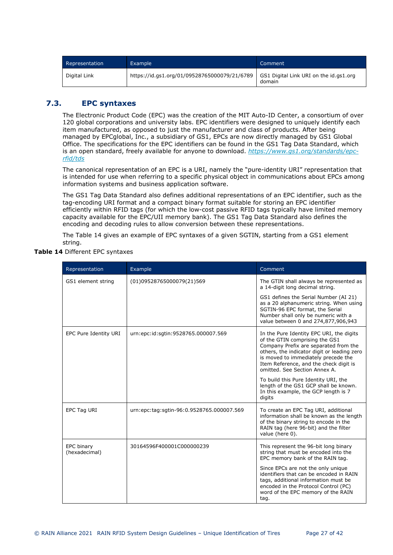| Representation | Example                                      | 'Comment                                         |
|----------------|----------------------------------------------|--------------------------------------------------|
| Digital Link   | https://id.gs1.org/01/09528765000079/21/6789 | GS1 Digital Link URI on the id.gs1.org<br>domain |

## **7.3. EPC syntaxes**

<span id="page-26-0"></span>The Electronic Product Code (EPC) was the creation of the MIT Auto-ID Center, a consortium of over 120 global corporations and university labs. EPC identifiers were designed to uniquely identify each item manufactured, as opposed to just the manufacturer and class of products. After being managed by EPCglobal, Inc., a subsidiary of GS1, EPCs are now directly managed by GS1 Global Office. The specifications for the EPC identifiers can be found i[n the GS1 Tag Data Standard, which](https://www.gs1.org/standards/epc-rfid/tds)  is an open standard, freely available for anyone to download. *https://www.gs1.org/standards/epc[rfid/tds](https://www.gs1.org/standards/epc-rfid/tds)*

The canonical representation of an EPC is a URI, namely the "pure-identity URI" representation that is intended for use when referring to a specific physical object in communications about EPCs among information systems and business application software.

The GS1 Tag Data Standard also defines additional representations of an EPC identifier, such as the tag-encoding URI format and a compact binary format suitable for storing an EPC identifier efficiently within RFID tags (for which the low-cost passive RFID tags typically have limited memory capacity available for the EPC/UII memory bank). The GS1 Tag Data Standard also defines the encoding and decoding rules to allow conversion between these representations.

The [Table 14](#page-26-1) gives an example of EPC syntaxes of a given SGTIN, starting from a GS1 element string.

<span id="page-26-1"></span>

|  | Table 14 Different EPC syntaxes |  |
|--|---------------------------------|--|
|  |                                 |  |

| Representation              | Example                                   | Comment                                                                                                                                                                                                                                                                              |  |  |  |  |
|-----------------------------|-------------------------------------------|--------------------------------------------------------------------------------------------------------------------------------------------------------------------------------------------------------------------------------------------------------------------------------------|--|--|--|--|
| GS1 element string          | (01)09528765000079(21)569                 | The GTIN shall always be represented as<br>a 14-digit long decimal string.                                                                                                                                                                                                           |  |  |  |  |
|                             |                                           | GS1 defines the Serial Number (AI 21)<br>as a 20 alphanumeric string. When using<br>SGTIN-96 EPC format, the Serial<br>Number shall only be numeric with a<br>value between 0 and 274,877,906,943                                                                                    |  |  |  |  |
| EPC Pure Identity URI       | urn:epc:id:sgtin:9528765.000007.569       | In the Pure Identity EPC URI, the digits<br>of the GTIN comprising the GS1<br>Company Prefix are separated from the<br>others, the indicator digit or leading zero<br>is moved to immediately precede the<br>Item Reference, and the check digit is<br>omitted. See Section Annex A. |  |  |  |  |
|                             |                                           | To build this Pure Identity URI, the<br>length of the GS1 GCP shall be known.<br>In this example, the GCP length is 7<br>digits                                                                                                                                                      |  |  |  |  |
| EPC Tag URI                 | urn:epc:tag:sgtin-96:0.9528765.000007.569 | To create an EPC Tag URI, additional<br>information shall be known as the length<br>of the binary string to encode in the<br>RAIN tag (here 96-bit) and the filter<br>value (here 0).                                                                                                |  |  |  |  |
| EPC binary<br>(hexadecimal) | 30164596F400001C000000239                 | This represent the 96-bit long binary<br>string that must be encoded into the<br>EPC memory bank of the RAIN tag.                                                                                                                                                                    |  |  |  |  |
|                             |                                           | Since EPCs are not the only unique<br>identifiers that can be encoded in RAIN<br>tags, additional information must be<br>encoded in the Protocol Control (PC)<br>word of the EPC memory of the RAIN<br>tag.                                                                          |  |  |  |  |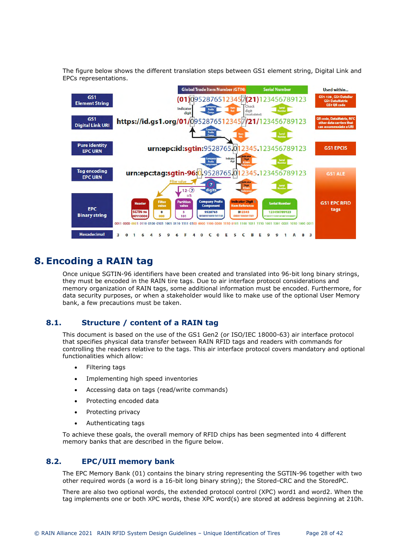The figure below shows the different translation steps between GS1 element string, Digital Link and EPCs representations.



## <span id="page-27-0"></span>**8. Encoding a RAIN tag**

Once unique SGTIN-96 identifiers have been created and translated into 96-bit long binary strings, they must be encoded in the RAIN tire tags. Due to air interface protocol considerations and memory organization of RAIN tags, some additional information must be encoded. Furthermore, for data security purposes, or when a stakeholder would like to make use of the optional User Memory bank, a few precautions must be taken.

## **8.1. Structure / content of a RAIN tag**

<span id="page-27-1"></span>This document is based on the use of the GS1 Gen2 (or ISO/IEC 18000-63) air interface protocol that specifies physical data transfer between RAIN RFID tags and readers with commands for controlling the readers relative to the tags. This air interface protocol covers mandatory and optional functionalities which allow:

- Filtering tags
- Implementing high speed inventories
- Accessing data on tags (read/write commands)
- Protecting encoded data
- Protecting privacy
- Authenticating tags

To achieve these goals, the overall memory of RFID chips has been segmented into 4 different memory banks that are described in the figure below.

## **8.2. EPC/UII memory bank**

<span id="page-27-2"></span>The EPC Memory Bank (01) contains the binary string representing the SGTIN-96 together with two other required words (a word is a 16-bit long binary string); the Stored-CRC and the StoredPC.

There are also two optional words, the extended protocol control (XPC) word1 and word2. When the tag implements one or both XPC words, these XPC word(s) are stored at address beginning at 210h.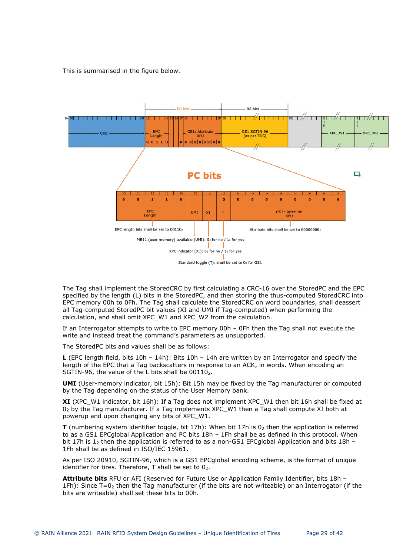This is summarised in the figure below.



The Tag shall implement the StoredCRC by first calculating a CRC-16 over the StoredPC and the EPC specified by the length (L) bits in the StoredPC, and then storing the thus-computed StoredCRC into EPC memory 00h to 0Fh. The Tag shall calculate the StoredCRC on word boundaries, shall deassert all Tag-computed StoredPC bit values (XI and UMI if Tag-computed) when performing the calculation, and shall omit XPC\_W1 and XPC\_W2 from the calculation.

If an Interrogator attempts to write to EPC memory 00h – 0Fh then the Tag shall not execute the write and instead treat the command's parameters as unsupported.

The StoredPC bits and values shall be as follows:

**L** (EPC length field, bits 10h – 14h): Bits 10h – 14h are written by an Interrogator and specify the length of the EPC that a Tag backscatters in response to an ACK, in words. When encoding an SGTIN-96, the value of the L bits shall be  $00110<sub>2</sub>$ .

**UMI** (User-memory indicator, bit 15h): Bit 15h may be fixed by the Tag manufacturer or computed by the Tag depending on the status of the User Memory bank.

**XI** (XPC\_W1 indicator, bit 16h): If a Tag does not implement XPC\_W1 then bit 16h shall be fixed at  $0<sub>2</sub>$  by the Tag manufacturer. If a Tag implements XPC W1 then a Tag shall compute XI both at powerup and upon changing any bits of XPC\_W1.

**T** (numbering system identifier toggle, bit 17h): When bit 17h is  $0<sub>2</sub>$  then the application is referred to as a GS1 EPCglobal Application and PC bits 18h – 1Fh shall be as defined in this protocol. When bit 17h is 1<sub>2</sub> then the application is referred to as a non-GS1 EPCqlobal Application and bits 18h – 1Fh shall be as defined in ISO/IEC 15961.

As per ISO 20910, SGTIN-96, which is a GS1 EPCglobal encoding scheme, is the format of unique identifier for tires. Therefore,  $T$  shall be set to  $0_2$ .

**Attribute bits** RFU or AFI (Reserved for Future Use or Application Family Identifier, bits 18h – 1Fh): Since  $T=0<sub>2</sub>$  then the Tag manufacturer (if the bits are not writeable) or an Interrogator (if the bits are writeable) shall set these bits to 00h.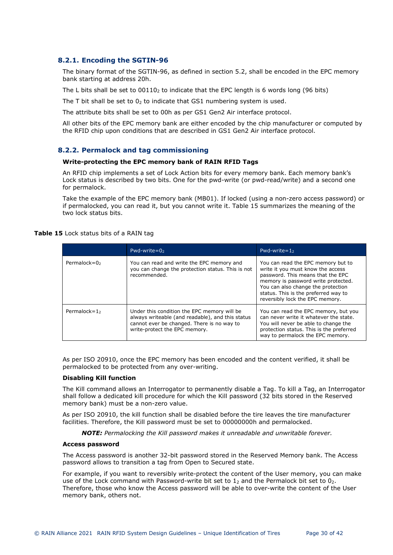## <span id="page-29-0"></span>**8.2.1. Encoding the SGTIN-96**

The binary format of the SGTIN-96, as defined in section [5.2](#page-11-4), shall be encoded in the EPC memory bank starting at address 20h.

The L bits shall be set to  $00110<sub>2</sub>$  to indicate that the EPC length is 6 words long (96 bits)

The T bit shall be set to  $0<sub>2</sub>$  to indicate that GS1 numbering system is used.

The attribute bits shall be set to 00h as per GS1 Gen2 Air interface protocol.

All other bits of the EPC memory bank are either encoded by the chip manufacturer or computed by the RFID chip upon conditions that are described in GS1 Gen2 Air interface protocol.

## <span id="page-29-3"></span><span id="page-29-1"></span>**8.2.2. Permalock and tag commissioning**

## **Write-protecting the EPC memory bank of RAIN RFID Tags**

An RFID chip implements a set of Lock Action bits for every memory bank. Each memory bank's Lock status is described by two bits. One for the pwd-write (or pwd-read/write) and a second one for permalock.

Take the example of the EPC memory bank (MB01). If l[ocked \(usi](#page-29-2)ng a non-zero access password) or if permalocked, you can read it, but you cannot write it. Table 15 summarizes the meaning of the two lock status bits.

## <span id="page-29-2"></span>**Table 15** Lock status bits of a RAIN tag

|                 | Pwd-write= $02$                                                                                                                                                                | Pwd-write= $12$                                                                                                                                                                                                                                                      |  |  |  |  |
|-----------------|--------------------------------------------------------------------------------------------------------------------------------------------------------------------------------|----------------------------------------------------------------------------------------------------------------------------------------------------------------------------------------------------------------------------------------------------------------------|--|--|--|--|
| Permalock=02    | You can read and write the EPC memory and<br>you can change the protection status. This is not<br>recommended.                                                                 | You can read the EPC memory but to<br>write it you must know the access<br>password. This means that the EPC<br>memory is password write protected.<br>You can also change the protection<br>status. This is the preferred way to<br>reversibly lock the EPC memory. |  |  |  |  |
| Permalock= $12$ | Under this condition the EPC memory will be<br>always writeable (and readable), and this status<br>cannot ever be changed. There is no way to<br>write-protect the EPC memory. | You can read the EPC memory, but you<br>can never write it whatever the state.<br>You will never be able to change the<br>protection status. This is the preferred<br>way to permalock the EPC memory.                                                               |  |  |  |  |

As per ISO 20910, once the EPC memory has been encoded and the content verified, it shall be permalocked to be protected from any over-writing.

### **Disabling Kill function**

The Kill command allows an Interrogator to permanently disable a Tag. To kill a Tag, an Interrogator shall follow a dedicated kill procedure for which the Kill password (32 bits stored in the Reserved memory bank) must be a non-zero value.

As per ISO 20910, the kill function shall be disabled before the tire leaves the tire manufacturer facilities. Therefore, the Kill password must be set to 00000000h and permalocked.

*NOTE: Permalocking the Kill password makes it unreadable and unwritable forever.* 

## **Access password**

The Access password is another 32-bit password stored in the Reserved Memory bank. The Access password allows to transition a tag from Open to Secured state.

For example, if you want to reversibly write-protect the content of the User memory, you can make use of the Lock command with Password-write bit set to 1, and the Permalock bit set to 0, Therefore, those who know the Access password will be able to over-write the content of the User memory bank, others not.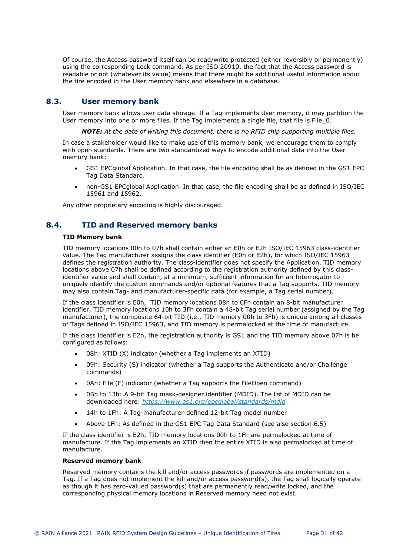Of course, the Access password itself can be read/write protected (either reversibly or permanently) using the corresponding Lock command. As per ISO 20910, the fact that the Access password is readable or not (whatever its value) means that there might be additional useful information about the tire encoded in the User memory bank and elsewhere in a database.

## **8.3. User memory bank**

<span id="page-30-0"></span>User memory bank allows user data storage. If a Tag implements User memory, it may partition the User memory into one or more files. If the Tag implements a single file, that file is File 0.

*NOTE: At the date of writing this document, there is no RFID chip supporting multiple files.* 

In case a stakeholder would like to make use of this memory bank, we encourage them to comply with open standards. There are two standardized ways to encode additional data into the User memory bank:

- GS1 EPCglobal Application. In that case, the file encoding shall be as defined in the GS1 EPC Tag Data Standard.
- non-GS1 EPCglobal Application. In that case, the file encoding shall be as defined in ISO/IEC 15961 and 15962.

<span id="page-30-1"></span>Any other proprietary encoding is highly discouraged.

## **8.4. TID and Reserved memory banks**

## **TID Memory bank**

TID memory locations 00h to 07h shall contain either an E0h or E2h ISO/IEC 15963 class-identifier value. The Tag manufacturer assigns the class identifier (E0h or E2h), for which ISO/IEC 15963 defines the registration authority. The class-identifier does not specify the Application. TID memory locations above 07h shall be defined according to the registration authority defined by this classidentifier value and shall contain, at a minimum, sufficient information for an Interrogator to uniquely identify the custom commands and/or optional features that a Tag supports. TID memory may also contain Tag- and manufacturer-specific data (for example, a Tag serial number).

If the class identifier is E0h, TID memory locations 08h to 0Fh contain an 8-bit manufacturer identifier, TID memory locations 10h to 3Fh contain a 48-bit Tag serial number (assigned by the Tag manufacturer), the composite 64-bit TID (i.e., TID memory 00h to 3Fh) is unique among all classes of Tags defined in ISO/IEC 15963, and TID memory is permalocked at the time of manufacture.

If the class identifier is E2h, the registration authority is GS1 and the TID memory above 07h is be configured as follows:

- 08h: XTID (X) indicator (whether a Tag implements an XTID)
- 09h: Security (S) indicator (whether a Tag supports the Authenticate and/or Challenge commands)
- 0Ah: File (F) indicator (whether a Tag supports the FileOpen command)
- 0Bh to 13h: A 9-bit Tag mask-designer identifier (MDID). The list of MDID can be downloaded here: *<https://www.gs1.org/epcglobal/standards/mdid>*
- 14h to 1Fh: A Tag-manufacturer-defined 12-bit Tag model number
- Above 1Fh: As defined in the GS1 EPC Tag Data Standard (see also section [6.5](#page-24-0))

If the class identifier is E2h, TID memory locations 00h to 1Fh are permalocked at time of manufacture. If the Tag implements an XTID then the entire XTID is also permalocked at time of manufacture.

## **Reserved memory bank**

Reserved memory contains the kill and/or access passwords if passwords are implemented on a Tag. If a Tag does not implement the kill and/or access password(s), the Tag shall logically operate as though it has zero-valued password(s) that are permanently read/write locked, and the corresponding physical memory locations in Reserved memory need not exist.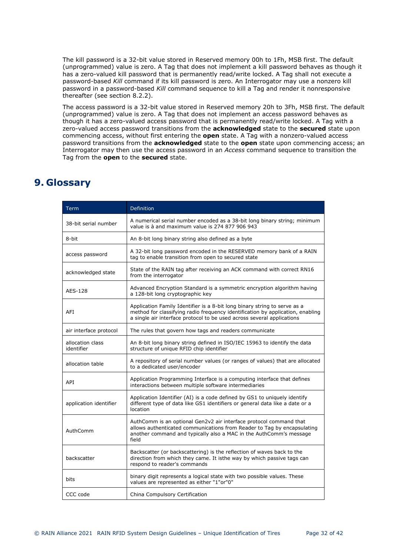The kill password is a 32-bit value stored in Reserved memory 00h to 1Fh, MSB first. The default (unprogrammed) value is zero. A Tag that does not implement a kill password behaves as though it has a zero-valued kill password that is permanently read/write locked. A Tag shall not execute a password-based *Kill* command if its kill password is zero. An Interrogator may use a nonzero kill password in a password-based *Kill* command sequence to kill a Tag and render it nonresponsive thereafter (see section [8.2.2\)](#page-29-3).

The access password is a 32-bit value stored in Reserved memory 20h to 3Fh, MSB first. The default (unprogrammed) value is zero. A Tag that does not implement an access password behaves as though it has a zero-valued access password that is permanently read/write locked. A Tag with a zero-valued access password transitions from the **acknowledged** state to the **secured** state upon commencing access, without first entering the **open** state. A Tag with a nonzero-valued access password transitions from the **acknowledged** state to the **open** state upon commencing access; an Interrogator may then use the access password in an *Access* command sequence to transition the Tag from the **open** to the **secured** state.

## <span id="page-31-0"></span>**9. Glossary**

| Term                           | Definition                                                                                                                                                                                                                            |
|--------------------------------|---------------------------------------------------------------------------------------------------------------------------------------------------------------------------------------------------------------------------------------|
| 38-bit serial number           | A numerical serial number encoded as a 38-bit long binary string; minimum<br>value is a and maximum value is 274 877 906 943                                                                                                          |
| 8-bit                          | An 8-bit long binary string also defined as a byte                                                                                                                                                                                    |
| access password                | A 32-bit long password encoded in the RESERVED memory bank of a RAIN<br>tag to enable transition from open to secured state                                                                                                           |
| acknowledged state             | State of the RAIN tag after receiving an ACK command with correct RN16<br>from the interrogator                                                                                                                                       |
| AES-128                        | Advanced Encryption Standard is a symmetric encryption algorithm having<br>a 128-bit long cryptographic key                                                                                                                           |
| AFI                            | Application Family Identifier is a 8-bit long binary string to serve as a<br>method for classifying radio frequency identification by application, enabling<br>a single air interface protocol to be used across several applications |
| air interface protocol         | The rules that govern how tags and readers communicate                                                                                                                                                                                |
| allocation class<br>identifier | An 8-bit long binary string defined in ISO/IEC 15963 to identify the data<br>structure of unique RFID chip identifier                                                                                                                 |
| allocation table               | A repository of serial number values (or ranges of values) that are allocated<br>to a dedicated user/encoder                                                                                                                          |
| API                            | Application Programming Interface is a computing interface that defines<br>interactions between multiple software intermediaries                                                                                                      |
| application identifier         | Application Identifier (AI) is a code defined by GS1 to uniquely identify<br>different type of data like GS1 identifiers or general data like a date or a<br>location                                                                 |
| AuthComm                       | AuthComm is an optional Gen2v2 air interface protocol command that<br>allows authenticated communications from Reader to Tag by encapsulating<br>another command and typically also a MAC in the AuthComm's message<br>field          |
| backscatter                    | Backscatter (or backscattering) is the reflection of waves back to the<br>direction from which they came. It isthe way by which passive tags can<br>respond to reader's commands                                                      |
| bits                           | binary digit represents a logical state with two possible values. These<br>values are represented as either "1"or"0"                                                                                                                  |
| CCC code                       | China Compulsory Certification                                                                                                                                                                                                        |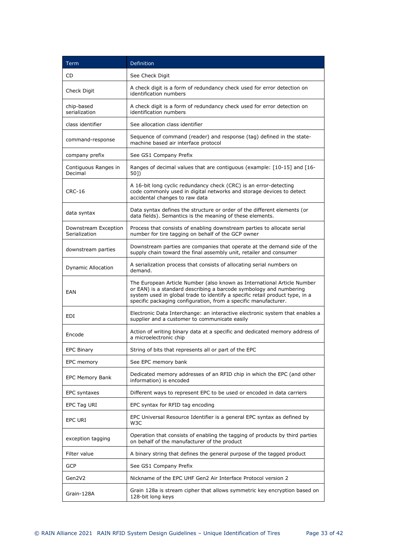| Term                                  | Definition                                                                                                                                                                                                                                                                                       |  |  |  |  |  |
|---------------------------------------|--------------------------------------------------------------------------------------------------------------------------------------------------------------------------------------------------------------------------------------------------------------------------------------------------|--|--|--|--|--|
| CD                                    | See Check Digit                                                                                                                                                                                                                                                                                  |  |  |  |  |  |
| Check Digit                           | A check digit is a form of redundancy check used for error detection on<br>identification numbers                                                                                                                                                                                                |  |  |  |  |  |
| chip-based<br>serialization           | A check digit is a form of redundancy check used for error detection on<br>identification numbers                                                                                                                                                                                                |  |  |  |  |  |
| class identifier                      | See allocation class identifier                                                                                                                                                                                                                                                                  |  |  |  |  |  |
| command-response                      | Sequence of command (reader) and response (tag) defined in the state-<br>machine based air interface protocol                                                                                                                                                                                    |  |  |  |  |  |
| company prefix                        | See GS1 Company Prefix                                                                                                                                                                                                                                                                           |  |  |  |  |  |
| Contiguous Ranges in<br>Decimal       | Ranges of decimal values that are contiguous (example: [10-15] and [16-<br>50])                                                                                                                                                                                                                  |  |  |  |  |  |
| <b>CRC-16</b>                         | A 16-bit long cyclic redundancy check (CRC) is an error-detecting<br>code commonly used in digital networks and storage devices to detect<br>accidental changes to raw data                                                                                                                      |  |  |  |  |  |
| data syntax                           | Data syntax defines the structure or order of the different elements (or<br>data fields). Semantics is the meaning of these elements.                                                                                                                                                            |  |  |  |  |  |
| Downstream Exception<br>Serialization | Process that consists of enabling downstream parties to allocate serial<br>number for tire tagging on behalf of the GCP owner                                                                                                                                                                    |  |  |  |  |  |
| downstream parties                    | Downstream parties are companies that operate at the demand side of the<br>supply chain toward the final assembly unit, retailer and consumer                                                                                                                                                    |  |  |  |  |  |
| <b>Dynamic Allocation</b>             | A serialization process that consists of allocating serial numbers on<br>demand.                                                                                                                                                                                                                 |  |  |  |  |  |
| EAN                                   | The European Article Number (also known as International Article Number<br>or EAN) is a standard describing a barcode symbology and numbering<br>system used in global trade to identify a specific retail product type, in a<br>specific packaging configuration, from a specific manufacturer. |  |  |  |  |  |
| <b>EDI</b>                            | Electronic Data Interchange: an interactive electronic system that enables a<br>supplier and a customer to communicate easily                                                                                                                                                                    |  |  |  |  |  |
| Encode                                | Action of writing binary data at a specific and dedicated memory address of<br>a microelectronic chip                                                                                                                                                                                            |  |  |  |  |  |
| EPC Binary                            | String of bits that represents all or part of the EPC                                                                                                                                                                                                                                            |  |  |  |  |  |
| EPC memory                            | See EPC memory bank                                                                                                                                                                                                                                                                              |  |  |  |  |  |
| EPC Memory Bank                       | Dedicated memory addresses of an RFID chip in which the EPC (and other<br>information) is encoded                                                                                                                                                                                                |  |  |  |  |  |
| EPC syntaxes                          | Different ways to represent EPC to be used or encoded in data carriers                                                                                                                                                                                                                           |  |  |  |  |  |
| EPC Tag URI                           | EPC syntax for RFID tag encoding                                                                                                                                                                                                                                                                 |  |  |  |  |  |
| EPC URI                               | EPC Universal Resource Identifier is a general EPC syntax as defined by<br>W3C                                                                                                                                                                                                                   |  |  |  |  |  |
| exception tagging                     | Operation that consists of enabling the tagging of products by third parties<br>on behalf of the manufacturer of the product                                                                                                                                                                     |  |  |  |  |  |
| Filter value                          | A binary string that defines the general purpose of the tagged product                                                                                                                                                                                                                           |  |  |  |  |  |
| GCP                                   | See GS1 Company Prefix                                                                                                                                                                                                                                                                           |  |  |  |  |  |
| Gen2V2                                | Nickname of the EPC UHF Gen2 Air Interface Protocol version 2                                                                                                                                                                                                                                    |  |  |  |  |  |
| Grain-128A                            | Grain 128a is stream cipher that allows symmetric key encryption based on<br>128-bit long keys                                                                                                                                                                                                   |  |  |  |  |  |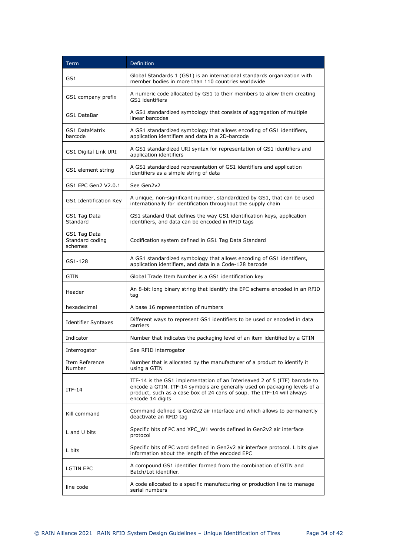| <b>Term</b>                                | Definition                                                                                                                                                                                                                                            |
|--------------------------------------------|-------------------------------------------------------------------------------------------------------------------------------------------------------------------------------------------------------------------------------------------------------|
| GS1                                        | Global Standards 1 (GS1) is an international standards organization with<br>member bodies in more than 110 countries worldwide                                                                                                                        |
| GS1 company prefix                         | A numeric code allocated by GS1 to their members to allow them creating<br>GS1 identifiers                                                                                                                                                            |
| GS1 DataBar                                | A GS1 standardized symbology that consists of aggregation of multiple<br>linear barcodes                                                                                                                                                              |
| <b>GS1 DataMatrix</b><br>barcode           | A GS1 standardized symbology that allows encoding of GS1 identifiers,<br>application identifiers and data in a 2D-barcode                                                                                                                             |
| GS1 Digital Link URI                       | A GS1 standardized URI syntax for representation of GS1 identifiers and<br>application identifiers                                                                                                                                                    |
| GS1 element string                         | A GS1 standardized representation of GS1 identifiers and application<br>identifiers as a simple string of data                                                                                                                                        |
| GS1 EPC Gen2 V2.0.1                        | See Gen2v2                                                                                                                                                                                                                                            |
| GS1 Identification Key                     | A unique, non-significant number, standardized by GS1, that can be used<br>internationally for identification throughout the supply chain                                                                                                             |
| GS1 Tag Data<br>Standard                   | GS1 standard that defines the way GS1 identification keys, application<br>identifiers, and data can be encoded in RFID tags                                                                                                                           |
| GS1 Tag Data<br>Standard coding<br>schemes | Codification system defined in GS1 Tag Data Standard                                                                                                                                                                                                  |
| GS1-128                                    | A GS1 standardized symbology that allows encoding of GS1 identifiers,<br>application identifiers, and data in a Code-128 barcode                                                                                                                      |
| GTIN                                       | Global Trade Item Number is a GS1 identification key                                                                                                                                                                                                  |
| Header                                     | An 8-bit long binary string that identify the EPC scheme encoded in an RFID<br>tag                                                                                                                                                                    |
| hexadecimal                                | A base 16 representation of numbers                                                                                                                                                                                                                   |
| Identifier Syntaxes                        | Different ways to represent GS1 identifiers to be used or encoded in data<br>carriers                                                                                                                                                                 |
| Indicator                                  | Number that indicates the packaging level of an item identified by a GTIN                                                                                                                                                                             |
| Interrogator                               | See RFID interrogator                                                                                                                                                                                                                                 |
| Item Reference<br>Number                   | Number that is allocated by the manufacturer of a product to identify it<br>using a GTIN                                                                                                                                                              |
| $ITF-14$                                   | ITF-14 is the GS1 implementation of an Interleaved 2 of 5 (ITF) barcode to<br>encode a GTIN. ITF-14 symbols are generally used on packaging levels of a<br>product, such as a case box of 24 cans of soup. The ITF-14 will always<br>encode 14 digits |
| Kill command                               | Command defined is Gen2v2 air interface and which allows to permanently<br>deactivate an RFID tag                                                                                                                                                     |
| L and U bits                               | Specific bits of PC and XPC W1 words defined in Gen2v2 air interface<br>protocol                                                                                                                                                                      |
| L bits                                     | Specific bits of PC word defined in Gen2v2 air interface protocol. L bits give<br>information about the length of the encoded EPC                                                                                                                     |
| <b>LGTIN EPC</b>                           | A compound GS1 identifier formed from the combination of GTIN and<br>Batch/Lot identifier.                                                                                                                                                            |
| line code                                  | A code allocated to a specific manufacturing or production line to manage<br>serial numbers                                                                                                                                                           |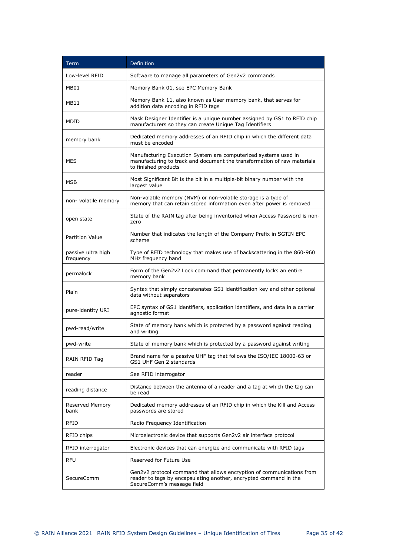| Term                            | Definition                                                                                                                                                               |  |  |  |  |  |  |
|---------------------------------|--------------------------------------------------------------------------------------------------------------------------------------------------------------------------|--|--|--|--|--|--|
| Low-level RFID                  | Software to manage all parameters of Gen2v2 commands                                                                                                                     |  |  |  |  |  |  |
| MB01                            | Memory Bank 01, see EPC Memory Bank                                                                                                                                      |  |  |  |  |  |  |
| MB11                            | Memory Bank 11, also known as User memory bank, that serves for<br>addition data encoding in RFID tags                                                                   |  |  |  |  |  |  |
| MDID                            | Mask Designer Identifier is a unique number assigned by GS1 to RFID chip<br>manufacturers so they can create Unique Tag Identifiers                                      |  |  |  |  |  |  |
| memory bank                     | Dedicated memory addresses of an RFID chip in which the different data<br>must be encoded                                                                                |  |  |  |  |  |  |
| MES                             | Manufacturing Execution System are computerized systems used in<br>manufacturing to track and document the transformation of raw materials<br>to finished products       |  |  |  |  |  |  |
| MSB                             | Most Significant Bit is the bit in a multiple-bit binary number with the<br>largest value                                                                                |  |  |  |  |  |  |
| non- volatile memory            | Non-volatile memory (NVM) or non-volatile storage is a type of<br>memory that can retain stored information even after power is removed                                  |  |  |  |  |  |  |
| open state                      | State of the RAIN tag after being inventoried when Access Password is non-<br>zero                                                                                       |  |  |  |  |  |  |
| <b>Partition Value</b>          | Number that indicates the length of the Company Prefix in SGTIN EPC<br>scheme                                                                                            |  |  |  |  |  |  |
| passive ultra high<br>frequency | Type of RFID technology that makes use of backscattering in the 860-960<br>MHz frequency band                                                                            |  |  |  |  |  |  |
| permalock                       | Form of the Gen2v2 Lock command that permanently locks an entire<br>memory bank                                                                                          |  |  |  |  |  |  |
| Plain                           | Syntax that simply concatenates GS1 identification key and other optional<br>data without separators                                                                     |  |  |  |  |  |  |
| pure-identity URI               | EPC syntax of GS1 identifiers, application identifiers, and data in a carrier<br>agnostic format                                                                         |  |  |  |  |  |  |
| pwd-read/write                  | State of memory bank which is protected by a password against reading<br>and writing                                                                                     |  |  |  |  |  |  |
| pwd-write                       | State of memory bank which is protected by a password against writing                                                                                                    |  |  |  |  |  |  |
| RAIN RFID Tag                   | Brand name for a passive UHF tag that follows the ISO/IEC 18000-63 or<br>GS1 UHF Gen 2 standards                                                                         |  |  |  |  |  |  |
| reader                          | See RFID interrogator                                                                                                                                                    |  |  |  |  |  |  |
| reading distance                | Distance between the antenna of a reader and a tag at which the tag can<br>be read                                                                                       |  |  |  |  |  |  |
| <b>Reserved Memory</b><br>bank  | Dedicated memory addresses of an RFID chip in which the Kill and Access<br>passwords are stored                                                                          |  |  |  |  |  |  |
| <b>RFID</b>                     | Radio Frequency Identification                                                                                                                                           |  |  |  |  |  |  |
| RFID chips                      | Microelectronic device that supports Gen2v2 air interface protocol                                                                                                       |  |  |  |  |  |  |
| RFID interrogator               | Electronic devices that can energize and communicate with RFID tags                                                                                                      |  |  |  |  |  |  |
| <b>RFU</b>                      | Reserved for Future Use                                                                                                                                                  |  |  |  |  |  |  |
| SecureComm                      | Gen2v2 protocol command that allows encryption of communications from<br>reader to tags by encapsulating another, encrypted command in the<br>SecureComm's message field |  |  |  |  |  |  |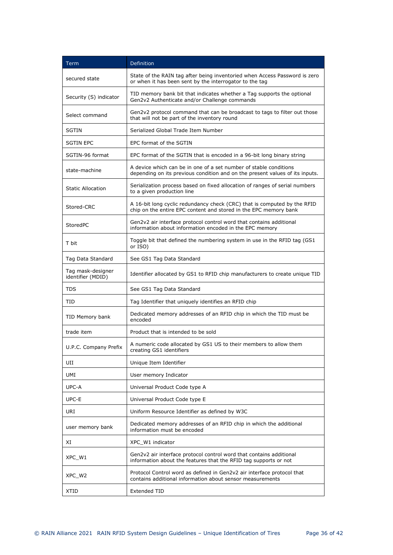| <b>Term</b>                            | Definition                                                                                                                                        |
|----------------------------------------|---------------------------------------------------------------------------------------------------------------------------------------------------|
| secured state                          | State of the RAIN tag after being inventoried when Access Password is zero<br>or when it has been sent by the interrogator to the tag             |
| Security (S) indicator                 | TID memory bank bit that indicates whether a Tag supports the optional<br>Gen2v2 Authenticate and/or Challenge commands                           |
| Select command                         | Gen2v2 protocol command that can be broadcast to tags to filter out those<br>that will not be part of the inventory round                         |
| <b>SGTIN</b>                           | Serialized Global Trade Item Number                                                                                                               |
| <b>SGTIN EPC</b>                       | EPC format of the SGTIN                                                                                                                           |
| SGTIN-96 format                        | EPC format of the SGTIN that is encoded in a 96-bit long binary string                                                                            |
| state-machine                          | A device which can be in one of a set number of stable conditions<br>depending on its previous condition and on the present values of its inputs. |
| <b>Static Allocation</b>               | Serialization process based on fixed allocation of ranges of serial numbers<br>to a given production line                                         |
| Stored-CRC                             | A 16-bit long cyclic redundancy check (CRC) that is computed by the RFID<br>chip on the entire EPC content and stored in the EPC memory bank      |
| StoredPC                               | Gen2v2 air interface protocol control word that contains additional<br>information about information encoded in the EPC memory                    |
| T bit                                  | Toggle bit that defined the numbering system in use in the RFID tag (GS1)<br>or ISO)                                                              |
| Tag Data Standard                      | See GS1 Tag Data Standard                                                                                                                         |
| Tag mask-designer<br>identifier (MDID) | Identifier allocated by GS1 to RFID chip manufacturers to create unique TID                                                                       |
| <b>TDS</b>                             | See GS1 Tag Data Standard                                                                                                                         |
| TID                                    | Tag Identifier that uniquely identifies an RFID chip                                                                                              |
| TID Memory bank                        | Dedicated memory addresses of an RFID chip in which the TID must be<br>encoded                                                                    |
| trade item                             | Product that is intended to be sold                                                                                                               |
| U.P.C. Company Prefix                  | A numeric code allocated by GS1 US to their members to allow them<br>creating GS1 identifiers                                                     |
| UII                                    | Unique Item Identifier                                                                                                                            |
| UMI                                    | User memory Indicator                                                                                                                             |
| UPC-A                                  | Universal Product Code type A                                                                                                                     |
| UPC-E                                  | Universal Product Code type E                                                                                                                     |
| URI                                    | Uniform Resource Identifier as defined by W3C                                                                                                     |
| user memory bank                       | Dedicated memory addresses of an RFID chip in which the additional<br>information must be encoded                                                 |
| XI                                     | XPC W1 indicator                                                                                                                                  |
| XPC W1                                 | Gen2v2 air interface protocol control word that contains additional<br>information about the features that the RFID tag supports or not           |
| XPC W <sub>2</sub>                     | Protocol Control word as defined in Gen2v2 air interface protocol that<br>contains additional information about sensor measurements               |
| XTID                                   | Extended TID                                                                                                                                      |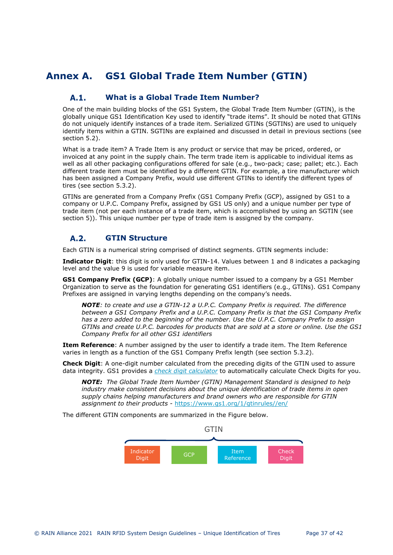## **Annex A. GS1 Global Trade Item Number (GTIN)**

#### <span id="page-36-1"></span><span id="page-36-0"></span>**What is a Global Trade Item Number?**   $A.1.$

One of the main building blocks of the GS1 System, the Global Trade Item Number (GTIN), is the globally unique GS1 Identification Key used to identify "trade items". It should be noted that GTINs do not uniquely identify instances of a trade item. Serialized GTINs (SGTINs) are used to uniquely identify items within a GTIN. SGTINs are explained and discussed in detail in previous sections (see section [5.2\)](#page-11-4).

What is a trade item? A Trade Item is any product or service that may be priced, ordered, or invoiced at any point in the supply chain. The term trade item is applicable to individual items as well as all other packaging configurations offered for sale (e.g., two-pack; case; pallet; etc.). Each different trade item must be identified by a different GTIN. For example, a tire manufacturer which has been assigned a Company Prefix, would use different GTINs to identify the different types of tires (see section [5.3.2](#page-14-0)).

GTINs are generated from a Company Prefix (GS1 Company Prefix (GCP), assigned by GS1 to a company or U.P.C. Company Prefix, assigned by GS1 US only) and a unique number per type of trade item (not per each instance of a trade item, which is accomplished by using an SGTIN (see section [5\)](#page-11-2)). This unique number per type of trade item is assigned by the company.

#### <span id="page-36-2"></span> $A.2.$ **GTIN Structure**

Each GTIN is a numerical string comprised of distinct segments. GTIN segments include:

**Indicator Digit**: this digit is only used for GTIN-14. Values between 1 and 8 indicates a packaging level and the value 9 is used for variable measure item.

**GS1 Company Prefix (GCP)**: A globally unique number issued to a company by a GS1 Member Organization to serve as the foundation for generating GS1 identifiers (e.g., GTINs). GS1 Company Prefixes are assigned in varying lengths depending on the company's needs.

*NOTE: to create and use a GTIN-12 a U.P.C. Company Prefix is required. The difference between a GS1 Company Prefix and a U.P.C. Company Prefix is that the GS1 Company Prefix has a zero added to the beginning of the number. Use the U.P.C. Company Prefix to assign GTINs and create U.P.C. barcodes for products that are sold at a store or online. Use the GS1 Company Prefix for all other GS1 identifiers* 

**Item Reference**: A number assigned by the user to identify a trade item. The Item Reference varies in length as a function of the GS1 Company Prefix length (see section [5.3.2](#page-14-0)).

**Check Digit**: A one-digit number calculated from the preceding digits of the GTIN used to assure data integrity. GS1 provides a *[check digit calculator](https://www.gs1.org/services/check-digit-calculator)* to automatically calculate Check Digits for you.

*NOTE: The Global Trade Item Number (GTIN) Management Standard is designed to help industry make consistent decisions about the unique identification of trade items in open supply chains helping manufacturers and brand owners who are responsible for GTIN assignment to their products -* <https://www.gs1.org/1/gtinrules//en/>

The different GTIN components are summarized in the Figure below.

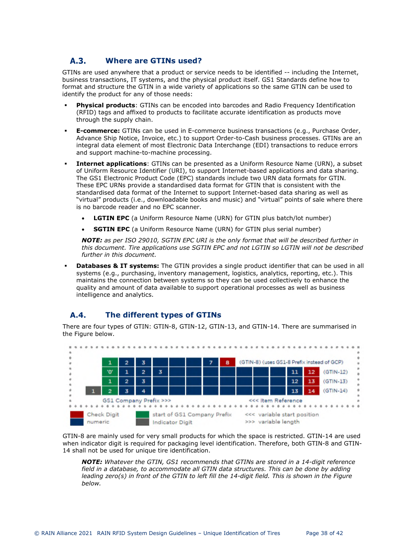#### <span id="page-37-0"></span>A.3. **Where are GTINs used?**

GTINs are used anywhere that a product or service needs to be identified -- including the Internet, business transactions, IT systems, and the physical product itself. GS1 Standards define how to format and structure the GTIN in a wide variety of applications so the same GTIN can be used to identify the product for any of those needs:

- **Physical products**: GTINs can be encoded into barcodes and Radio Frequency Identification (RFID) tags and affixed to products to facilitate accurate identification as products move through the supply chain.
- **E-commerce:** GTINs can be used in E-commerce business transactions (e.g., Purchase Order, Advance Ship Notice, Invoice, etc.) to support Order-to-Cash business processes. GTINs are an integral data element of most Electronic Data Interchange (EDI) transactions to reduce errors and support machine-to-machine processing.
- **Internet applications**: GTINs can be presented as a Uniform Resource Name (URN), a subset of Uniform Resource Identifier (URI), to support Internet-based applications and data sharing. The GS1 Electronic Product Code (EPC) standards include two URN data formats for GTIN. These EPC URNs provide a standardised data format for GTIN that is consistent with the standardised data format of the Internet to support Internet-based data sharing as well as "virtual" products (i.e., downloadable books and music) and "virtual" points of sale where there is no barcode reader and no EPC scanner.
	- **LGTIN EPC** (a Uniform Resource Name (URN) for GTIN plus batch/lot number)
	- **SGTIN EPC** (a Uniform Resource Name (URN) for GTIN plus serial number)

*NOTE: as per ISO 29010, SGTIN EPC URI is the only format that will be described further in this document. Tire applications use SGTIN EPC and not LGTIN so LGTIN will not be described further in this document.*

 **Databases & IT systems:** The GTIN provides a single product identifier that can be used in all systems (e.g., purchasing, inventory management, logistics, analytics, reporting, etc.). This maintains the connection between systems so they can be used collectively to enhance the quality and amount of data available to support operational processes as well as business intelligence and analytics.

#### <span id="page-37-1"></span> $A.4.$ **The different types of GTINs**

There are four types of GTIN: GTIN-8, GTIN-12, GTIN-13, and GTIN-14. There are summarised in the Figure below.



GTIN-8 are mainly used for very small products for which the space is restricted. GTIN-14 are used when indicator digit is required for packaging level identification. Therefore, both GTIN-8 and GTIN-14 shall not be used for unique tire identification.

*NOTE: Whatever the GTIN, GS1 recommends that GTINs are stored in a 14-digit reference field in a database, to accommodate all GTIN data structures. This can be done by adding leading zero(s) in front of the GTIN to left fill the 14-digit field. This is shown in the Figure below.*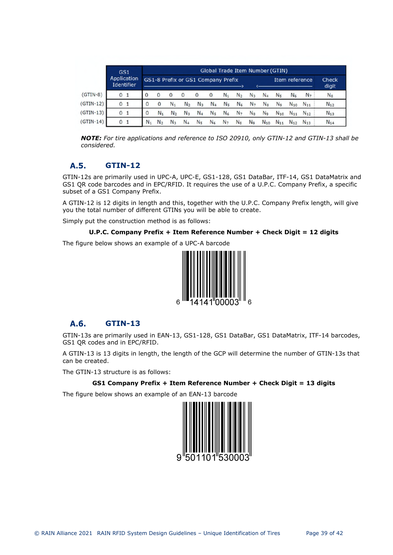|             | GS <sub>1</sub>                         |              | Global Trade Item Number (GTIN)    |                |                |                |                    |                |                |                |                |                |                |                |                |             |
|-------------|-----------------------------------------|--------------|------------------------------------|----------------|----------------|----------------|--------------------|----------------|----------------|----------------|----------------|----------------|----------------|----------------|----------------|-------------|
|             | <b>Application</b><br><b>Identifier</b> |              | GS1-8 Prefix or GS1 Company Prefix |                |                |                |                    |                | Item reference |                |                |                | Check<br>digit |                |                |             |
| $(GTIN-8)$  | 0                                       | 1            | $\Omega$                           | $\mathbf{0}$   | $\bf{0}$       | $\mathbf{0}$   | $\mathbf 0$        | $\mathbf{0}$   | N.             | N <sub>2</sub> | $N_{3}$        | N <sub>4</sub> | N <sub>5</sub> | N <sub>6</sub> | N <sub>7</sub> | $N_{\rm s}$ |
| $(GTIN-12)$ | 0                                       | 1            | $\mathbf{0}$                       | $\mathbf 0$    | $N_{1}$        | N <sub>2</sub> | $N_{\overline{z}}$ | N <sub>4</sub> | N <sub>5</sub> | N <sub>6</sub> | N <sub>7</sub> | $N_{\rm B}$    | N <sub>9</sub> | $N_{10}$       | $N_{11}$       | $N_{12}$    |
| $(GTIN-13)$ | 0 <sub>1</sub>                          |              | $\bf{0}$                           | $N_{1}$        | N <sub>2</sub> | $N_3$          | N <sub>4</sub>     | N <sub>5</sub> | N <sub>6</sub> | N <sub>7</sub> | $N_{\rm B}$    | N <sub>9</sub> | $N_{10}$       | $N_{11}$       | $N_{12}$       | $N_{13}$    |
| $(GTIN-14)$ | 0                                       | $\mathbf{1}$ | $N_{1}$                            | N <sub>2</sub> | $N_3$          | N <sub>4</sub> | N <sub>5</sub>     | N <sub>6</sub> | N <sub>7</sub> | $N_{\rm s}$    | N <sub>9</sub> | $N_{10}$       | $N_{11}$       | $N_{12}$       | $N_{13}$       | $N_{14}$    |

*NOTE: For tire applications and reference to ISO 20910, only GTIN-12 and GTIN-13 shall be considered.* 

#### <span id="page-38-0"></span> $A.5.$ **GTIN-12**

GTIN-12s are primarily used in UPC-A, UPC-E, GS1-128, GS1 DataBar, ITF-14, GS1 DataMatrix and GS1 QR code barcodes and in EPC/RFID. It requires the use of a U.P.C. Company Prefix, a specific subset of a GS1 Company Prefix.

A GTIN-12 is 12 digits in length and this, together with the U.P.C. Company Prefix length, will give you the total number of different GTINs you will be able to create.

Simply put the construction method is as follows:

```
U.P.C. Company Prefix + Item Reference Number + Check Digit = 12 digits
```
The figure below shows an example of a UPC-A barcode



#### <span id="page-38-1"></span>A.6. **GTIN-13**

GTIN-13s are primarily used in EAN-13, GS1-128, GS1 DataBar, GS1 DataMatrix, ITF-14 barcodes, GS1 QR codes and in EPC/RFID.

A GTIN-13 is 13 digits in length, the length of the GCP will determine the number of GTIN-13s that can be created.

The GTIN-13 structure is as follows:

## **GS1 Company Prefix + Item Reference Number + Check Digit = 13 digits**

The figure below shows an example of an EAN-13 barcode

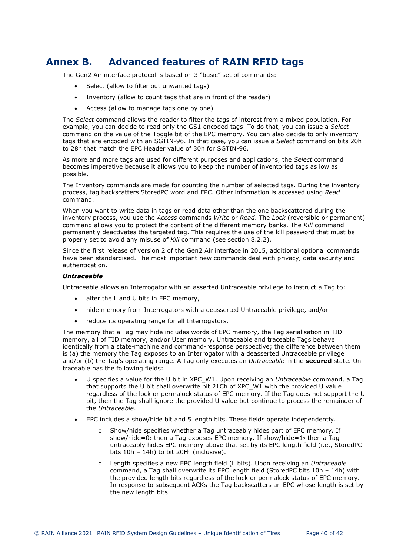## **Annex B. Advanced features of RAIN RFID tags**

The Gen2 Air interface protocol is based on 3 "basic" set of commands:

- <span id="page-39-0"></span>Select (allow to filter out unwanted tags)
- Inventory (allow to count tags that are in front of the reader)
- Access (allow to manage tags one by one)

The *Select* command allows the reader to filter the tags of interest from a mixed population. For example, you can decide to read only the GS1 encoded tags. To do that, you can issue a *Select* command on the value of the Toggle bit of the EPC memory. You can also decide to only inventory tags that are encoded with an SGTIN-96. In that case, you can issue a *Select* command on bits 20h to 28h that match the EPC Header value of 30h for SGTIN-96.

As more and more tags are used for different purposes and applications, the *Select* command becomes imperative because it allows you to keep the number of inventoried tags as low as possible.

The Inventory commands are made for counting the number of selected tags. During the inventory process, tag backscatters StoredPC word and EPC. Other information is accessed using *Read* command.

When you want to write data in tags or read data other than the one backscattered during the inventory process, you use the *Access* commands *Write* or *Read*. The *Lock* (reversible or permanent) command allows you to protect the content of the different memory banks. The *Kill* command permanently deactivates the targeted tag. This requires the use of the kill password that must be properly set to avoid any misuse of *Kill* command (see section [8.2.2](#page-29-1)).

Since the first release of version 2 of the Gen2 Air interface in 2015, additional optional commands have been standardised. The most important new commands deal with privacy, data security and authentication.

## *Untraceable*

Untraceable allows an Interrogator with an asserted Untraceable privilege to instruct a Tag to:

- alter the L and U bits in EPC memory,
- hide memory from Interrogators with a deasserted Untraceable privilege, and/or
- reduce its operating range for all Interrogators.

The memory that a Tag may hide includes words of EPC memory, the Tag serialisation in TID memory, all of TID memory, and/or User memory. Untraceable and traceable Tags behave identically from a state-machine and command-response perspective; the difference between them is (a) the memory the Tag exposes to an Interrogator with a deasserted Untraceable privilege and/or (b) the Tag's operating range. A Tag only executes an *Untraceable* in the **secured** state. Untraceable has the following fields:

- U specifies a value for the U bit in XPC\_W1. Upon receiving an *Untraceable* command, a Tag that supports the U bit shall overwrite bit 21Ch of XPC\_W1 with the provided U value regardless of the lock or permalock status of EPC memory. If the Tag does not support the U bit, then the Tag shall ignore the provided U value but continue to process the remainder of the *Untraceable*.
- EPC includes a show/hide bit and 5 length bits. These fields operate independently.
	- Show/hide specifies whether a Tag untraceably hides part of EPC memory. If show/hide=0<sub>2</sub> then a Tag exposes EPC memory. If show/hide=1<sub>2</sub> then a Tag untraceably hides EPC memory above that set by its EPC length field (i.e., StoredPC bits 10h – 14h) to bit 20Fh (inclusive).
	- o Length specifies a new EPC length field (L bits). Upon receiving an *Untraceable* command, a Tag shall overwrite its EPC length field (StoredPC bits 10h – 14h) with the provided length bits regardless of the lock or permalock status of EPC memory. In response to subsequent ACKs the Tag backscatters an EPC whose length is set by the new length bits.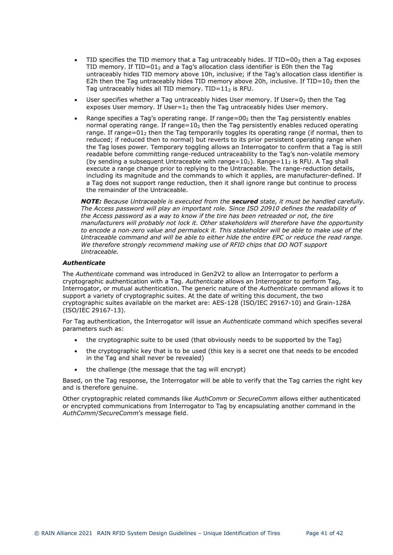- TID specifies the TID memory that a Tag untraceably hides. If  $TID=00<sub>2</sub>$  then a Tag exposes TID memory. If  $TID=01$  and a Tag's allocation class identifier is E0h then the Tag untraceably hides TID memory above 10h, inclusive; if the Tag's allocation class identifier is E2h then the Tag untraceably hides TID memory above 20h, inclusive. If TID=10 $_2$  then the Tag untraceably hides all TID memory.  $TID=11<sub>2</sub>$  is RFU.
- User specifies whether a Tag untraceably hides User memory. If User=0 $_2$  then the Tag exposes User memory. If User= $1<sub>2</sub>$  then the Tag untraceably hides User memory.
- Range specifies a Tag's operating range. If range= $00<sub>2</sub>$  then the Tag persistently enables normal operating range. If range= $10<sub>2</sub>$  then the Tag persistently enables reduced operating range. If range=01<sub>2</sub> then the Tag temporarily toggles its operating range (if normal, then to reduced; if reduced then to normal) but reverts to its prior persistent operating range when the Tag loses power. Temporary toggling allows an Interrogator to confirm that a Tag is still readable before committing range-reduced untraceability to the Tag's non-volatile memory (by sending a subsequent Untraceable with range=10 $_2$ ). Range=11 $_2$  is RFU. A Tag shall execute a range change prior to replying to the Untraceable. The range-reduction details, including its magnitude and the commands to which it applies, are manufacturer-defined. If a Tag does not support range reduction, then it shall ignore range but continue to process the remainder of the Untraceable.

*NOTE: Because Untraceable is executed from the secured state, it must be handled carefully. The Access password will play an important role. Since ISO 20910 defines the readability of the Access password as a way to know if the tire has been retreaded or not, the tire manufacturers will probably not lock it. Other stakeholders will therefore have the opportunity to encode a non-zero value and permalock it. This stakeholder will be able to make use of the Untraceable command and will be able to either hide the entire EPC or reduce the read range. We therefore strongly recommend making use of RFID chips that DO NOT support Untraceable.* 

## *Authenticate*

The *Authenticate* command was introduced in Gen2V2 to allow an Interrogator to perform a cryptographic authentication with a Tag. *Authenticate* allows an Interrogator to perform Tag, Interrogator, or mutual authentication. The generic nature of the *Authenticate* command allows it to support a variety of cryptographic suites. At the date of writing this document, the two cryptographic suites available on the market are: AES-128 (ISO/IEC 29167-10) and Grain-128A (ISO/IEC 29167-13).

For Tag authentication, the Interrogator will issue an *Authenticate* command which specifies several parameters such as:

- the cryptographic suite to be used (that obviously needs to be supported by the Tag)
- the cryptographic key that is to be used (this key is a secret one that needs to be encoded in the Tag and shall never be revealed)
- the challenge (the message that the tag will encrypt)

Based, on the Tag response, the Interrogator will be able to verify that the Tag carries the right key and is therefore genuine.

Other cryptographic related commands like *AuthComm* or *SecureComm* allows either authenticated or encrypted communications from Interrogator to Tag by encapsulating another command in the *AuthComm*/*SecureComm*'s message field.